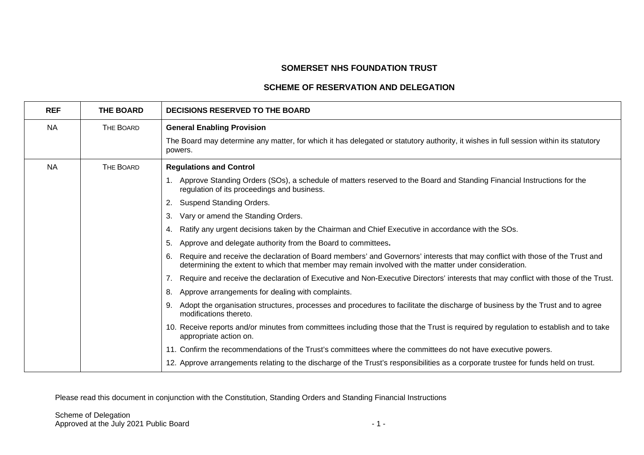# **SOMERSET NHS FOUNDATION TRUST**

## **SCHEME OF RESERVATION AND DELEGATION**

| <b>REF</b> | <b>THE BOARD</b> | <b>DECISIONS RESERVED TO THE BOARD</b>                                                                                                                                                                                                     |
|------------|------------------|--------------------------------------------------------------------------------------------------------------------------------------------------------------------------------------------------------------------------------------------|
| <b>NA</b>  | THE BOARD        | <b>General Enabling Provision</b>                                                                                                                                                                                                          |
|            |                  | The Board may determine any matter, for which it has delegated or statutory authority, it wishes in full session within its statutory<br>powers.                                                                                           |
| <b>NA</b>  | THE BOARD        | <b>Regulations and Control</b>                                                                                                                                                                                                             |
|            |                  | 1. Approve Standing Orders (SOs), a schedule of matters reserved to the Board and Standing Financial Instructions for the<br>regulation of its proceedings and business.                                                                   |
|            |                  | Suspend Standing Orders.<br>2.                                                                                                                                                                                                             |
|            |                  | Vary or amend the Standing Orders.<br>3.                                                                                                                                                                                                   |
|            |                  | Ratify any urgent decisions taken by the Chairman and Chief Executive in accordance with the SOs.<br>4.                                                                                                                                    |
|            |                  | Approve and delegate authority from the Board to committees.<br>5.                                                                                                                                                                         |
|            |                  | Require and receive the declaration of Board members' and Governors' interests that may conflict with those of the Trust and<br>6.<br>determining the extent to which that member may remain involved with the matter under consideration. |
|            |                  | 7. Require and receive the declaration of Executive and Non-Executive Directors' interests that may conflict with those of the Trust.                                                                                                      |
|            |                  | Approve arrangements for dealing with complaints.<br>8.                                                                                                                                                                                    |
|            |                  | Adopt the organisation structures, processes and procedures to facilitate the discharge of business by the Trust and to agree<br>9.<br>modifications thereto.                                                                              |
|            |                  | 10. Receive reports and/or minutes from committees including those that the Trust is required by regulation to establish and to take<br>appropriate action on.                                                                             |
|            |                  | 11. Confirm the recommendations of the Trust's committees where the committees do not have executive powers.                                                                                                                               |
|            |                  | 12. Approve arrangements relating to the discharge of the Trust's responsibilities as a corporate trustee for funds held on trust.                                                                                                         |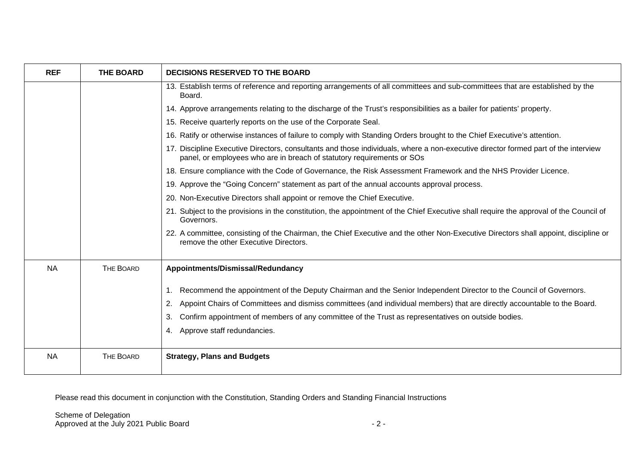| <b>REF</b> | <b>THE BOARD</b> | <b>DECISIONS RESERVED TO THE BOARD</b>                                                                                                                                                                                                                                                                                                                                                                                 |
|------------|------------------|------------------------------------------------------------------------------------------------------------------------------------------------------------------------------------------------------------------------------------------------------------------------------------------------------------------------------------------------------------------------------------------------------------------------|
|            |                  | 13. Establish terms of reference and reporting arrangements of all committees and sub-committees that are established by the<br>Board.                                                                                                                                                                                                                                                                                 |
|            |                  | 14. Approve arrangements relating to the discharge of the Trust's responsibilities as a bailer for patients' property.                                                                                                                                                                                                                                                                                                 |
|            |                  | 15. Receive quarterly reports on the use of the Corporate Seal.                                                                                                                                                                                                                                                                                                                                                        |
|            |                  | 16. Ratify or otherwise instances of failure to comply with Standing Orders brought to the Chief Executive's attention.                                                                                                                                                                                                                                                                                                |
|            |                  | 17. Discipline Executive Directors, consultants and those individuals, where a non-executive director formed part of the interview<br>panel, or employees who are in breach of statutory requirements or SOs                                                                                                                                                                                                           |
|            |                  | 18. Ensure compliance with the Code of Governance, the Risk Assessment Framework and the NHS Provider Licence.                                                                                                                                                                                                                                                                                                         |
|            |                  | 19. Approve the "Going Concern" statement as part of the annual accounts approval process.                                                                                                                                                                                                                                                                                                                             |
|            |                  | 20. Non-Executive Directors shall appoint or remove the Chief Executive.                                                                                                                                                                                                                                                                                                                                               |
|            |                  | 21. Subject to the provisions in the constitution, the appointment of the Chief Executive shall require the approval of the Council of<br>Governors.                                                                                                                                                                                                                                                                   |
|            |                  | 22. A committee, consisting of the Chairman, the Chief Executive and the other Non-Executive Directors shall appoint, discipline or<br>remove the other Executive Directors.                                                                                                                                                                                                                                           |
| <b>NA</b>  | THE BOARD        | Appointments/Dismissal/Redundancy                                                                                                                                                                                                                                                                                                                                                                                      |
|            |                  | Recommend the appointment of the Deputy Chairman and the Senior Independent Director to the Council of Governors.<br>$\mathbf{1}$ .<br>Appoint Chairs of Committees and dismiss committees (and individual members) that are directly accountable to the Board.<br>2.<br>Confirm appointment of members of any committee of the Trust as representatives on outside bodies.<br>3.<br>Approve staff redundancies.<br>4. |
| <b>NA</b>  | <b>THE BOARD</b> | <b>Strategy, Plans and Budgets</b>                                                                                                                                                                                                                                                                                                                                                                                     |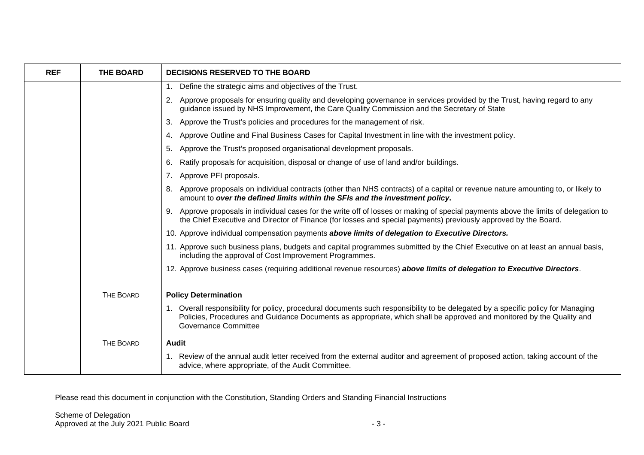| <b>REF</b> | <b>THE BOARD</b> | <b>DECISIONS RESERVED TO THE BOARD</b>                                                                                                                                                                                                                                                  |
|------------|------------------|-----------------------------------------------------------------------------------------------------------------------------------------------------------------------------------------------------------------------------------------------------------------------------------------|
|            |                  | Define the strategic aims and objectives of the Trust.<br>1 <sub>1</sub>                                                                                                                                                                                                                |
|            |                  | Approve proposals for ensuring quality and developing governance in services provided by the Trust, having regard to any<br>2.<br>guidance issued by NHS Improvement, the Care Quality Commission and the Secretary of State                                                            |
|            |                  | Approve the Trust's policies and procedures for the management of risk.<br>3.                                                                                                                                                                                                           |
|            |                  | Approve Outline and Final Business Cases for Capital Investment in line with the investment policy.<br>4.                                                                                                                                                                               |
|            |                  | Approve the Trust's proposed organisational development proposals.<br>5.                                                                                                                                                                                                                |
|            |                  | Ratify proposals for acquisition, disposal or change of use of land and/or buildings.<br>6.                                                                                                                                                                                             |
|            |                  | Approve PFI proposals.<br>7.                                                                                                                                                                                                                                                            |
|            |                  | Approve proposals on individual contracts (other than NHS contracts) of a capital or revenue nature amounting to, or likely to<br>8.<br>amount to over the defined limits within the SFIs and the investment policy.                                                                    |
|            |                  | 9. Approve proposals in individual cases for the write off of losses or making of special payments above the limits of delegation to<br>the Chief Executive and Director of Finance (for losses and special payments) previously approved by the Board.                                 |
|            |                  | 10. Approve individual compensation payments above limits of delegation to Executive Directors.                                                                                                                                                                                         |
|            |                  | 11. Approve such business plans, budgets and capital programmes submitted by the Chief Executive on at least an annual basis,<br>including the approval of Cost Improvement Programmes.                                                                                                 |
|            |                  | 12. Approve business cases (requiring additional revenue resources) above limits of delegation to Executive Directors.                                                                                                                                                                  |
|            | THE BOARD        | <b>Policy Determination</b>                                                                                                                                                                                                                                                             |
|            |                  | 1. Overall responsibility for policy, procedural documents such responsibility to be delegated by a specific policy for Managing<br>Policies, Procedures and Guidance Documents as appropriate, which shall be approved and monitored by the Quality and<br><b>Governance Committee</b> |
|            | THE BOARD        | Audit                                                                                                                                                                                                                                                                                   |
|            |                  | 1. Review of the annual audit letter received from the external auditor and agreement of proposed action, taking account of the<br>advice, where appropriate, of the Audit Committee.                                                                                                   |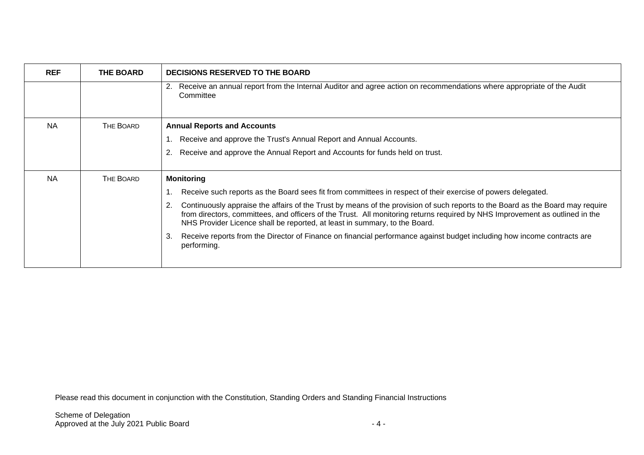| <b>REF</b> | THE BOARD        | <b>DECISIONS RESERVED TO THE BOARD</b>                                                                                                                                                                                                                                                                                                             |
|------------|------------------|----------------------------------------------------------------------------------------------------------------------------------------------------------------------------------------------------------------------------------------------------------------------------------------------------------------------------------------------------|
|            |                  | Receive an annual report from the Internal Auditor and agree action on recommendations where appropriate of the Audit<br>2.<br>Committee                                                                                                                                                                                                           |
| <b>NA</b>  | <b>THE BOARD</b> | <b>Annual Reports and Accounts</b>                                                                                                                                                                                                                                                                                                                 |
|            |                  | Receive and approve the Trust's Annual Report and Annual Accounts.                                                                                                                                                                                                                                                                                 |
|            |                  | Receive and approve the Annual Report and Accounts for funds held on trust.<br>2.                                                                                                                                                                                                                                                                  |
| <b>NA</b>  | THE BOARD        | <b>Monitoring</b>                                                                                                                                                                                                                                                                                                                                  |
|            |                  | Receive such reports as the Board sees fit from committees in respect of their exercise of powers delegated.                                                                                                                                                                                                                                       |
|            |                  | Continuously appraise the affairs of the Trust by means of the provision of such reports to the Board as the Board may require<br>2.<br>from directors, committees, and officers of the Trust. All monitoring returns required by NHS Improvement as outlined in the<br>NHS Provider Licence shall be reported, at least in summary, to the Board. |
|            |                  | Receive reports from the Director of Finance on financial performance against budget including how income contracts are<br>З.<br>performing.                                                                                                                                                                                                       |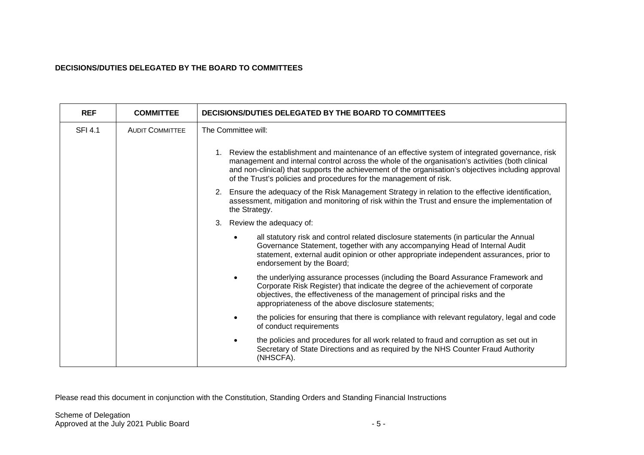#### **DECISIONS/DUTIES DELEGATED BY THE BOARD TO COMMITTEES**

| <b>REF</b>     | <b>COMMITTEE</b>       | DECISIONS/DUTIES DELEGATED BY THE BOARD TO COMMITTEES                                                                                                                                                                                                                                                                                                                              |
|----------------|------------------------|------------------------------------------------------------------------------------------------------------------------------------------------------------------------------------------------------------------------------------------------------------------------------------------------------------------------------------------------------------------------------------|
| <b>SFI 4.1</b> | <b>AUDIT COMMITTEE</b> | The Committee will:                                                                                                                                                                                                                                                                                                                                                                |
|                |                        | 1. Review the establishment and maintenance of an effective system of integrated governance, risk<br>management and internal control across the whole of the organisation's activities (both clinical<br>and non-clinical) that supports the achievement of the organisation's objectives including approval<br>of the Trust's policies and procedures for the management of risk. |
|                |                        | 2. Ensure the adequacy of the Risk Management Strategy in relation to the effective identification,<br>assessment, mitigation and monitoring of risk within the Trust and ensure the implementation of<br>the Strategy.                                                                                                                                                            |
|                |                        | Review the adequacy of:<br>3.                                                                                                                                                                                                                                                                                                                                                      |
|                |                        | all statutory risk and control related disclosure statements (in particular the Annual<br>Governance Statement, together with any accompanying Head of Internal Audit<br>statement, external audit opinion or other appropriate independent assurances, prior to<br>endorsement by the Board;                                                                                      |
|                |                        | the underlying assurance processes (including the Board Assurance Framework and<br>Corporate Risk Register) that indicate the degree of the achievement of corporate<br>objectives, the effectiveness of the management of principal risks and the<br>appropriateness of the above disclosure statements;                                                                          |
|                |                        | the policies for ensuring that there is compliance with relevant regulatory, legal and code<br>of conduct requirements                                                                                                                                                                                                                                                             |
|                |                        | the policies and procedures for all work related to fraud and corruption as set out in<br>Secretary of State Directions and as required by the NHS Counter Fraud Authority<br>(NHSCFA).                                                                                                                                                                                            |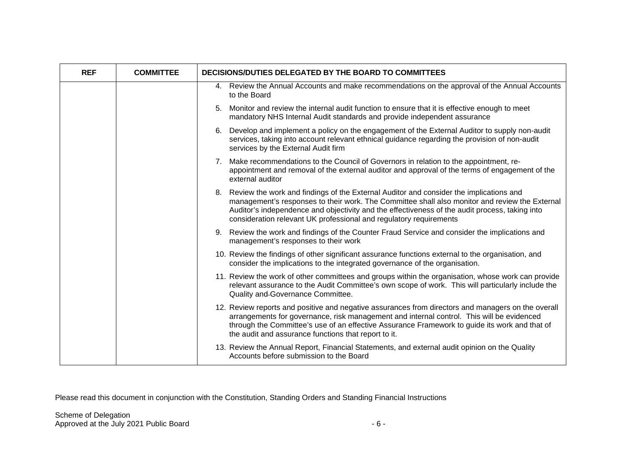| <b>REF</b> | <b>COMMITTEE</b> | DECISIONS/DUTIES DELEGATED BY THE BOARD TO COMMITTEES                                                                                                                                                                                                                                                                                                               |
|------------|------------------|---------------------------------------------------------------------------------------------------------------------------------------------------------------------------------------------------------------------------------------------------------------------------------------------------------------------------------------------------------------------|
|            |                  | 4. Review the Annual Accounts and make recommendations on the approval of the Annual Accounts<br>to the Board                                                                                                                                                                                                                                                       |
|            |                  | 5. Monitor and review the internal audit function to ensure that it is effective enough to meet<br>mandatory NHS Internal Audit standards and provide independent assurance                                                                                                                                                                                         |
|            |                  | 6. Develop and implement a policy on the engagement of the External Auditor to supply non-audit<br>services, taking into account relevant ethnical guidance regarding the provision of non-audit<br>services by the External Audit firm                                                                                                                             |
|            |                  | 7. Make recommendations to the Council of Governors in relation to the appointment, re-<br>appointment and removal of the external auditor and approval of the terms of engagement of the<br>external auditor                                                                                                                                                       |
|            |                  | 8. Review the work and findings of the External Auditor and consider the implications and<br>management's responses to their work. The Committee shall also monitor and review the External<br>Auditor's independence and objectivity and the effectiveness of the audit process, taking into<br>consideration relevant UK professional and regulatory requirements |
|            |                  | 9. Review the work and findings of the Counter Fraud Service and consider the implications and<br>management's responses to their work                                                                                                                                                                                                                              |
|            |                  | 10. Review the findings of other significant assurance functions external to the organisation, and<br>consider the implications to the integrated governance of the organisation.                                                                                                                                                                                   |
|            |                  | 11. Review the work of other committees and groups within the organisation, whose work can provide<br>relevant assurance to the Audit Committee's own scope of work. This will particularly include the<br>Quality and-Governance Committee.                                                                                                                        |
|            |                  | 12. Review reports and positive and negative assurances from directors and managers on the overall<br>arrangements for governance, risk management and internal control. This will be evidenced<br>through the Committee's use of an effective Assurance Framework to guide its work and that of<br>the audit and assurance functions that report to it.            |
|            |                  | 13. Review the Annual Report, Financial Statements, and external audit opinion on the Quality<br>Accounts before submission to the Board                                                                                                                                                                                                                            |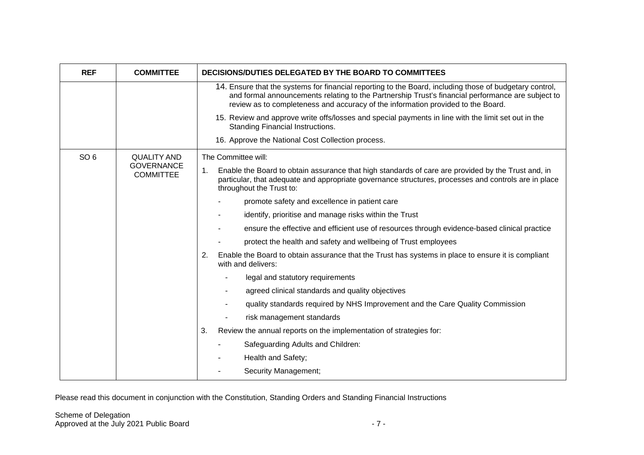| <b>REF</b>      | <b>COMMITTEE</b>                      | DECISIONS/DUTIES DELEGATED BY THE BOARD TO COMMITTEES                                                                                                                                                                                                                                            |
|-----------------|---------------------------------------|--------------------------------------------------------------------------------------------------------------------------------------------------------------------------------------------------------------------------------------------------------------------------------------------------|
|                 |                                       | 14. Ensure that the systems for financial reporting to the Board, including those of budgetary control,<br>and formal announcements relating to the Partnership Trust's financial performance are subject to<br>review as to completeness and accuracy of the information provided to the Board. |
|                 |                                       | 15. Review and approve write offs/losses and special payments in line with the limit set out in the<br>Standing Financial Instructions.                                                                                                                                                          |
|                 |                                       | 16. Approve the National Cost Collection process.                                                                                                                                                                                                                                                |
| SO <sub>6</sub> | <b>QUALITY AND</b>                    | The Committee will:                                                                                                                                                                                                                                                                              |
|                 | <b>GOVERNANCE</b><br><b>COMMITTEE</b> | 1.<br>Enable the Board to obtain assurance that high standards of care are provided by the Trust and, in<br>particular, that adequate and appropriate governance structures, processes and controls are in place<br>throughout the Trust to:                                                     |
|                 |                                       | promote safety and excellence in patient care                                                                                                                                                                                                                                                    |
|                 |                                       | identify, prioritise and manage risks within the Trust                                                                                                                                                                                                                                           |
|                 |                                       | ensure the effective and efficient use of resources through evidence-based clinical practice                                                                                                                                                                                                     |
|                 |                                       | protect the health and safety and wellbeing of Trust employees                                                                                                                                                                                                                                   |
|                 |                                       | Enable the Board to obtain assurance that the Trust has systems in place to ensure it is compliant<br>2.<br>with and delivers:                                                                                                                                                                   |
|                 |                                       | legal and statutory requirements                                                                                                                                                                                                                                                                 |
|                 |                                       | agreed clinical standards and quality objectives                                                                                                                                                                                                                                                 |
|                 |                                       | quality standards required by NHS Improvement and the Care Quality Commission                                                                                                                                                                                                                    |
|                 |                                       | risk management standards                                                                                                                                                                                                                                                                        |
|                 |                                       | Review the annual reports on the implementation of strategies for:<br>3.                                                                                                                                                                                                                         |
|                 |                                       | Safeguarding Adults and Children:                                                                                                                                                                                                                                                                |
|                 |                                       | Health and Safety;                                                                                                                                                                                                                                                                               |
|                 |                                       | Security Management;                                                                                                                                                                                                                                                                             |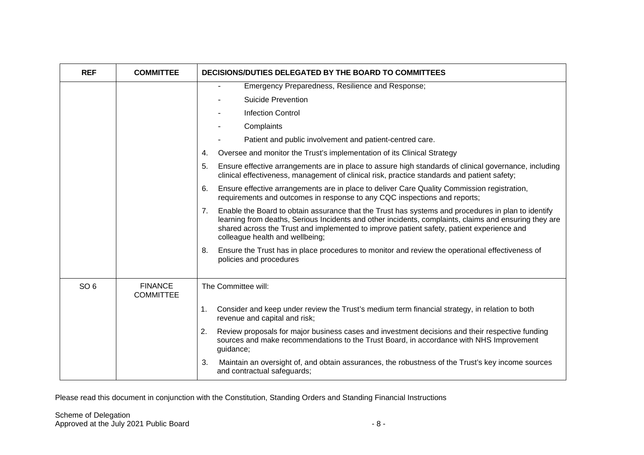| <b>REF</b>      | <b>COMMITTEE</b>                   | DECISIONS/DUTIES DELEGATED BY THE BOARD TO COMMITTEES                                                                                                                                                                                                                                                                                             |
|-----------------|------------------------------------|---------------------------------------------------------------------------------------------------------------------------------------------------------------------------------------------------------------------------------------------------------------------------------------------------------------------------------------------------|
|                 |                                    | Emergency Preparedness, Resilience and Response;<br>$\overline{\phantom{a}}$                                                                                                                                                                                                                                                                      |
|                 |                                    | <b>Suicide Prevention</b>                                                                                                                                                                                                                                                                                                                         |
|                 |                                    | <b>Infection Control</b>                                                                                                                                                                                                                                                                                                                          |
|                 |                                    | Complaints                                                                                                                                                                                                                                                                                                                                        |
|                 |                                    | Patient and public involvement and patient-centred care.                                                                                                                                                                                                                                                                                          |
|                 |                                    | Oversee and monitor the Trust's implementation of its Clinical Strategy<br>4.                                                                                                                                                                                                                                                                     |
|                 |                                    | Ensure effective arrangements are in place to assure high standards of clinical governance, including<br>5.<br>clinical effectiveness, management of clinical risk, practice standards and patient safety;                                                                                                                                        |
|                 |                                    | Ensure effective arrangements are in place to deliver Care Quality Commission registration,<br>6.<br>requirements and outcomes in response to any CQC inspections and reports;                                                                                                                                                                    |
|                 |                                    | Enable the Board to obtain assurance that the Trust has systems and procedures in plan to identify<br>7.<br>learning from deaths, Serious Incidents and other incidents, complaints, claims and ensuring they are<br>shared across the Trust and implemented to improve patient safety, patient experience and<br>colleague health and wellbeing; |
|                 |                                    | Ensure the Trust has in place procedures to monitor and review the operational effectiveness of<br>8.<br>policies and procedures                                                                                                                                                                                                                  |
| SO <sub>6</sub> | <b>FINANCE</b><br><b>COMMITTEE</b> | The Committee will:                                                                                                                                                                                                                                                                                                                               |
|                 |                                    | Consider and keep under review the Trust's medium term financial strategy, in relation to both<br>1.<br>revenue and capital and risk;                                                                                                                                                                                                             |
|                 |                                    | Review proposals for major business cases and investment decisions and their respective funding<br>2.<br>sources and make recommendations to the Trust Board, in accordance with NHS Improvement<br>guidance;                                                                                                                                     |
|                 |                                    | Maintain an oversight of, and obtain assurances, the robustness of the Trust's key income sources<br>3.<br>and contractual safeguards;                                                                                                                                                                                                            |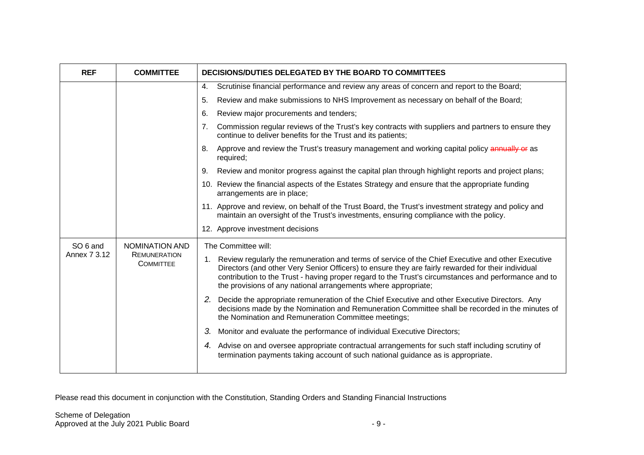| <b>REF</b>          | <b>COMMITTEE</b>                        | DECISIONS/DUTIES DELEGATED BY THE BOARD TO COMMITTEES                                                                                                                                                                                                                                                                                                                                |
|---------------------|-----------------------------------------|--------------------------------------------------------------------------------------------------------------------------------------------------------------------------------------------------------------------------------------------------------------------------------------------------------------------------------------------------------------------------------------|
|                     |                                         | 4.<br>Scrutinise financial performance and review any areas of concern and report to the Board;                                                                                                                                                                                                                                                                                      |
|                     |                                         | Review and make submissions to NHS Improvement as necessary on behalf of the Board;<br>5.                                                                                                                                                                                                                                                                                            |
|                     |                                         | Review major procurements and tenders;<br>6.                                                                                                                                                                                                                                                                                                                                         |
|                     |                                         | Commission regular reviews of the Trust's key contracts with suppliers and partners to ensure they<br>7.<br>continue to deliver benefits for the Trust and its patients;                                                                                                                                                                                                             |
|                     |                                         | Approve and review the Trust's treasury management and working capital policy annually or as<br>8.<br>required;                                                                                                                                                                                                                                                                      |
|                     |                                         | Review and monitor progress against the capital plan through highlight reports and project plans;<br>9.                                                                                                                                                                                                                                                                              |
|                     |                                         | 10. Review the financial aspects of the Estates Strategy and ensure that the appropriate funding<br>arrangements are in place;                                                                                                                                                                                                                                                       |
|                     |                                         | 11. Approve and review, on behalf of the Trust Board, the Trust's investment strategy and policy and<br>maintain an oversight of the Trust's investments, ensuring compliance with the policy.                                                                                                                                                                                       |
|                     |                                         | 12. Approve investment decisions                                                                                                                                                                                                                                                                                                                                                     |
| SO <sub>6</sub> and | <b>NOMINATION AND</b>                   | The Committee will:                                                                                                                                                                                                                                                                                                                                                                  |
| Annex 7 3.12        | <b>REMUNERATION</b><br><b>COMMITTEE</b> | 1. Review regularly the remuneration and terms of service of the Chief Executive and other Executive<br>Directors (and other Very Senior Officers) to ensure they are fairly rewarded for their individual<br>contribution to the Trust - having proper regard to the Trust's circumstances and performance and to<br>the provisions of any national arrangements where appropriate; |
|                     |                                         | 2. Decide the appropriate remuneration of the Chief Executive and other Executive Directors. Any<br>decisions made by the Nomination and Remuneration Committee shall be recorded in the minutes of<br>the Nomination and Remuneration Committee meetings;                                                                                                                           |
|                     |                                         | Monitor and evaluate the performance of individual Executive Directors;<br>3.                                                                                                                                                                                                                                                                                                        |
|                     |                                         | 4. Advise on and oversee appropriate contractual arrangements for such staff including scrutiny of<br>termination payments taking account of such national guidance as is appropriate.                                                                                                                                                                                               |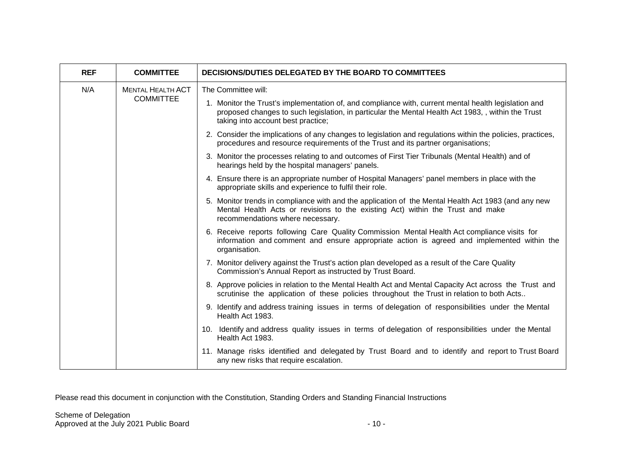| <b>REF</b> | <b>COMMITTEE</b>                             | DECISIONS/DUTIES DELEGATED BY THE BOARD TO COMMITTEES                                                                                                                                                                                            |
|------------|----------------------------------------------|--------------------------------------------------------------------------------------------------------------------------------------------------------------------------------------------------------------------------------------------------|
| N/A        | <b>MENTAL HEALTH ACT</b><br><b>COMMITTEE</b> | The Committee will:                                                                                                                                                                                                                              |
|            |                                              | 1. Monitor the Trust's implementation of, and compliance with, current mental health legislation and<br>proposed changes to such legislation, in particular the Mental Health Act 1983, , within the Trust<br>taking into account best practice; |
|            |                                              | 2. Consider the implications of any changes to legislation and regulations within the policies, practices,<br>procedures and resource requirements of the Trust and its partner organisations;                                                   |
|            |                                              | 3. Monitor the processes relating to and outcomes of First Tier Tribunals (Mental Health) and of<br>hearings held by the hospital managers' panels.                                                                                              |
|            |                                              | 4. Ensure there is an appropriate number of Hospital Managers' panel members in place with the<br>appropriate skills and experience to fulfil their role.                                                                                        |
|            |                                              | 5. Monitor trends in compliance with and the application of the Mental Health Act 1983 (and any new<br>Mental Health Acts or revisions to the existing Act) within the Trust and make<br>recommendations where necessary.                        |
|            |                                              | 6. Receive reports following Care Quality Commission Mental Health Act compliance visits for<br>information and comment and ensure appropriate action is agreed and implemented within the<br>organisation.                                      |
|            |                                              | 7. Monitor delivery against the Trust's action plan developed as a result of the Care Quality<br>Commission's Annual Report as instructed by Trust Board.                                                                                        |
|            |                                              | 8. Approve policies in relation to the Mental Health Act and Mental Capacity Act across the Trust and<br>scrutinise the application of these policies throughout the Trust in relation to both Acts                                              |
|            |                                              | 9. Identify and address training issues in terms of delegation of responsibilities under the Mental<br>Health Act 1983.                                                                                                                          |
|            |                                              | 10. Identify and address quality issues in terms of delegation of responsibilities under the Mental<br>Health Act 1983.                                                                                                                          |
|            |                                              | 11. Manage risks identified and delegated by Trust Board and to identify and report to Trust Board<br>any new risks that require escalation.                                                                                                     |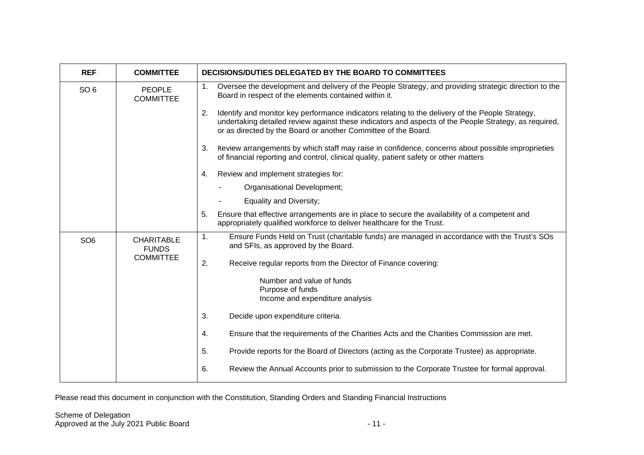| <b>REF</b>      | <b>COMMITTEE</b>                  | DECISIONS/DUTIES DELEGATED BY THE BOARD TO COMMITTEES                                                                                                                                                                                                                             |
|-----------------|-----------------------------------|-----------------------------------------------------------------------------------------------------------------------------------------------------------------------------------------------------------------------------------------------------------------------------------|
| SO <sub>6</sub> | <b>PEOPLE</b><br><b>COMMITTEE</b> | Oversee the development and delivery of the People Strategy, and providing strategic direction to the<br>1.<br>Board in respect of the elements contained within it.                                                                                                              |
|                 |                                   | 2.<br>Identify and monitor key performance indicators relating to the delivery of the People Strategy,<br>undertaking detailed review against these indicators and aspects of the People Strategy, as required,<br>or as directed by the Board or another Committee of the Board. |
|                 |                                   | Review arrangements by which staff may raise in confidence, concerns about possible improprieties<br>3.<br>of financial reporting and control, clinical quality, patient safety or other matters                                                                                  |
|                 |                                   | Review and implement strategies for:<br>4.                                                                                                                                                                                                                                        |
|                 |                                   | Organisational Development;                                                                                                                                                                                                                                                       |
|                 |                                   | Equality and Diversity;                                                                                                                                                                                                                                                           |
|                 |                                   | Ensure that effective arrangements are in place to secure the availability of a competent and<br>5.<br>appropriately qualified workforce to deliver healthcare for the Trust.                                                                                                     |
| SO <sub>6</sub> | <b>CHARITABLE</b><br><b>FUNDS</b> | Ensure Funds Held on Trust (charitable funds) are managed in accordance with the Trust's SOs<br>$\mathbf{1}$ .<br>and SFIs, as approved by the Board.                                                                                                                             |
|                 | <b>COMMITTEE</b>                  | 2.<br>Receive regular reports from the Director of Finance covering:                                                                                                                                                                                                              |
|                 |                                   | Number and value of funds                                                                                                                                                                                                                                                         |
|                 |                                   | Purpose of funds<br>Income and expenditure analysis                                                                                                                                                                                                                               |
|                 |                                   | 3.<br>Decide upon expenditure criteria.                                                                                                                                                                                                                                           |
|                 |                                   | Ensure that the requirements of the Charities Acts and the Charities Commission are met.<br>4.                                                                                                                                                                                    |
|                 |                                   | Provide reports for the Board of Directors (acting as the Corporate Trustee) as appropriate.<br>5.                                                                                                                                                                                |
|                 |                                   | Review the Annual Accounts prior to submission to the Corporate Trustee for formal approval.<br>6.                                                                                                                                                                                |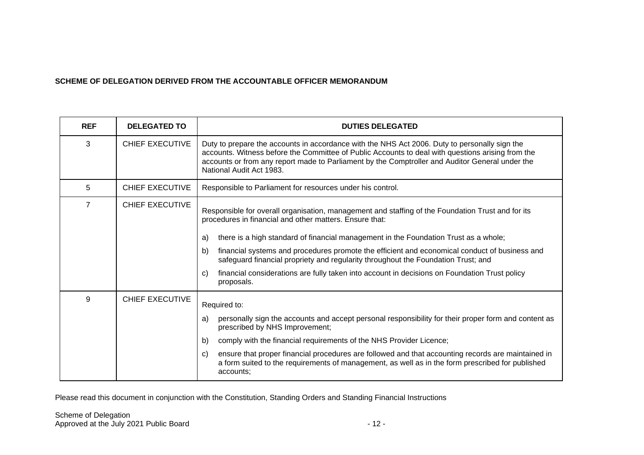#### **SCHEME OF DELEGATION DERIVED FROM THE ACCOUNTABLE OFFICER MEMORANDUM**

| <b>REF</b>     | <b>DELEGATED TO</b>    | <b>DUTIES DELEGATED</b>                                                                                                                                                                                                                                                                                                           |
|----------------|------------------------|-----------------------------------------------------------------------------------------------------------------------------------------------------------------------------------------------------------------------------------------------------------------------------------------------------------------------------------|
| 3              | <b>CHIEF EXECUTIVE</b> | Duty to prepare the accounts in accordance with the NHS Act 2006. Duty to personally sign the<br>accounts. Witness before the Committee of Public Accounts to deal with questions arising from the<br>accounts or from any report made to Parliament by the Comptroller and Auditor General under the<br>National Audit Act 1983. |
| 5              | <b>CHIEF EXECUTIVE</b> | Responsible to Parliament for resources under his control.                                                                                                                                                                                                                                                                        |
| $\overline{7}$ | <b>CHIEF EXECUTIVE</b> | Responsible for overall organisation, management and staffing of the Foundation Trust and for its<br>procedures in financial and other matters. Ensure that:<br>there is a high standard of financial management in the Foundation Trust as a whole;<br>a)                                                                        |
|                |                        | financial systems and procedures promote the efficient and economical conduct of business and<br>b)<br>safeguard financial propriety and regularity throughout the Foundation Trust; and                                                                                                                                          |
|                |                        | financial considerations are fully taken into account in decisions on Foundation Trust policy<br>C)<br>proposals.                                                                                                                                                                                                                 |
| 9              | <b>CHIEF EXECUTIVE</b> | Required to:                                                                                                                                                                                                                                                                                                                      |
|                |                        | personally sign the accounts and accept personal responsibility for their proper form and content as<br>a)<br>prescribed by NHS Improvement;                                                                                                                                                                                      |
|                |                        | comply with the financial requirements of the NHS Provider Licence;<br>b)                                                                                                                                                                                                                                                         |
|                |                        | ensure that proper financial procedures are followed and that accounting records are maintained in<br>C)<br>a form suited to the requirements of management, as well as in the form prescribed for published<br>accounts;                                                                                                         |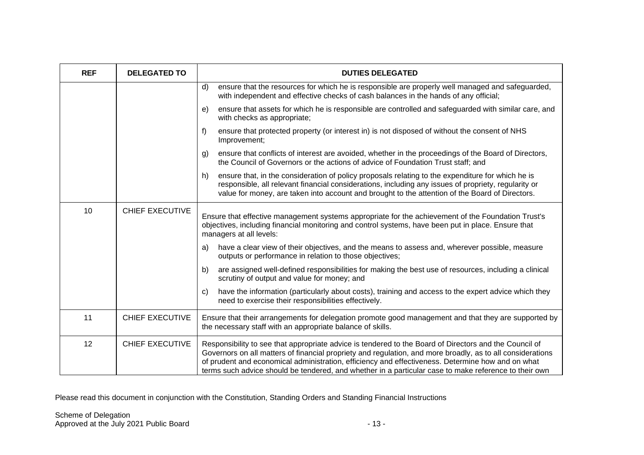| <b>REF</b> | <b>DELEGATED TO</b>    | <b>DUTIES DELEGATED</b>                                                                                                                                                                                                                                                                                                                                                                                                            |
|------------|------------------------|------------------------------------------------------------------------------------------------------------------------------------------------------------------------------------------------------------------------------------------------------------------------------------------------------------------------------------------------------------------------------------------------------------------------------------|
|            |                        | ensure that the resources for which he is responsible are properly well managed and safeguarded,<br>d)<br>with independent and effective checks of cash balances in the hands of any official;                                                                                                                                                                                                                                     |
|            |                        | ensure that assets for which he is responsible are controlled and safeguarded with similar care, and<br>e)<br>with checks as appropriate;                                                                                                                                                                                                                                                                                          |
|            |                        | ensure that protected property (or interest in) is not disposed of without the consent of NHS<br>f)<br>Improvement;                                                                                                                                                                                                                                                                                                                |
|            |                        | ensure that conflicts of interest are avoided, whether in the proceedings of the Board of Directors,<br>g)<br>the Council of Governors or the actions of advice of Foundation Trust staff; and                                                                                                                                                                                                                                     |
|            |                        | ensure that, in the consideration of policy proposals relating to the expenditure for which he is<br>h)<br>responsible, all relevant financial considerations, including any issues of propriety, regularity or<br>value for money, are taken into account and brought to the attention of the Board of Directors.                                                                                                                 |
| 10         | <b>CHIEF EXECUTIVE</b> | Ensure that effective management systems appropriate for the achievement of the Foundation Trust's<br>objectives, including financial monitoring and control systems, have been put in place. Ensure that<br>managers at all levels:                                                                                                                                                                                               |
|            |                        | have a clear view of their objectives, and the means to assess and, wherever possible, measure<br>a)<br>outputs or performance in relation to those objectives;                                                                                                                                                                                                                                                                    |
|            |                        | are assigned well-defined responsibilities for making the best use of resources, including a clinical<br>b)<br>scrutiny of output and value for money; and                                                                                                                                                                                                                                                                         |
|            |                        | have the information (particularly about costs), training and access to the expert advice which they<br>C)<br>need to exercise their responsibilities effectively.                                                                                                                                                                                                                                                                 |
| 11         | <b>CHIEF EXECUTIVE</b> | Ensure that their arrangements for delegation promote good management and that they are supported by<br>the necessary staff with an appropriate balance of skills.                                                                                                                                                                                                                                                                 |
| 12         | <b>CHIEF EXECUTIVE</b> | Responsibility to see that appropriate advice is tendered to the Board of Directors and the Council of<br>Governors on all matters of financial propriety and regulation, and more broadly, as to all considerations<br>of prudent and economical administration, efficiency and effectiveness. Determine how and on what<br>terms such advice should be tendered, and whether in a particular case to make reference to their own |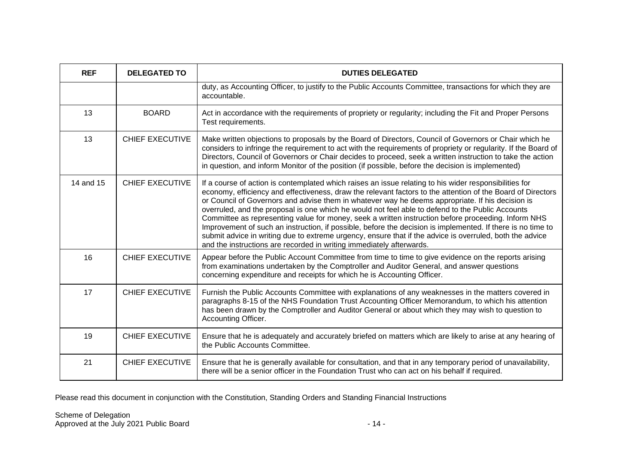| <b>REF</b> | <b>DELEGATED TO</b>    | <b>DUTIES DELEGATED</b>                                                                                                                                                                                                                                                                                                                                                                                                                                                                                                                                                                                                                                                                                                                                                                                                                 |
|------------|------------------------|-----------------------------------------------------------------------------------------------------------------------------------------------------------------------------------------------------------------------------------------------------------------------------------------------------------------------------------------------------------------------------------------------------------------------------------------------------------------------------------------------------------------------------------------------------------------------------------------------------------------------------------------------------------------------------------------------------------------------------------------------------------------------------------------------------------------------------------------|
|            |                        | duty, as Accounting Officer, to justify to the Public Accounts Committee, transactions for which they are<br>accountable.                                                                                                                                                                                                                                                                                                                                                                                                                                                                                                                                                                                                                                                                                                               |
| 13         | <b>BOARD</b>           | Act in accordance with the requirements of propriety or regularity; including the Fit and Proper Persons<br>Test requirements.                                                                                                                                                                                                                                                                                                                                                                                                                                                                                                                                                                                                                                                                                                          |
| 13         | <b>CHIEF EXECUTIVE</b> | Make written objections to proposals by the Board of Directors, Council of Governors or Chair which he<br>considers to infringe the requirement to act with the requirements of propriety or regularity. If the Board of<br>Directors, Council of Governors or Chair decides to proceed, seek a written instruction to take the action<br>in question, and inform Monitor of the position (if possible, before the decision is implemented)                                                                                                                                                                                                                                                                                                                                                                                             |
| 14 and 15  | <b>CHIEF EXECUTIVE</b> | If a course of action is contemplated which raises an issue relating to his wider responsibilities for<br>economy, efficiency and effectiveness, draw the relevant factors to the attention of the Board of Directors<br>or Council of Governors and advise them in whatever way he deems appropriate. If his decision is<br>overruled, and the proposal is one which he would not feel able to defend to the Public Accounts<br>Committee as representing value for money, seek a written instruction before proceeding. Inform NHS<br>Improvement of such an instruction, if possible, before the decision is implemented. If there is no time to<br>submit advice in writing due to extreme urgency, ensure that if the advice is overruled, both the advice<br>and the instructions are recorded in writing immediately afterwards. |
| 16         | <b>CHIEF EXECUTIVE</b> | Appear before the Public Account Committee from time to time to give evidence on the reports arising<br>from examinations undertaken by the Comptroller and Auditor General, and answer questions<br>concerning expenditure and receipts for which he is Accounting Officer.                                                                                                                                                                                                                                                                                                                                                                                                                                                                                                                                                            |
| 17         | <b>CHIEF EXECUTIVE</b> | Furnish the Public Accounts Committee with explanations of any weaknesses in the matters covered in<br>paragraphs 8-15 of the NHS Foundation Trust Accounting Officer Memorandum, to which his attention<br>has been drawn by the Comptroller and Auditor General or about which they may wish to question to<br>Accounting Officer.                                                                                                                                                                                                                                                                                                                                                                                                                                                                                                    |
| 19         | <b>CHIEF EXECUTIVE</b> | Ensure that he is adequately and accurately briefed on matters which are likely to arise at any hearing of<br>the Public Accounts Committee.                                                                                                                                                                                                                                                                                                                                                                                                                                                                                                                                                                                                                                                                                            |
| 21         | <b>CHIEF EXECUTIVE</b> | Ensure that he is generally available for consultation, and that in any temporary period of unavailability,<br>there will be a senior officer in the Foundation Trust who can act on his behalf if required.                                                                                                                                                                                                                                                                                                                                                                                                                                                                                                                                                                                                                            |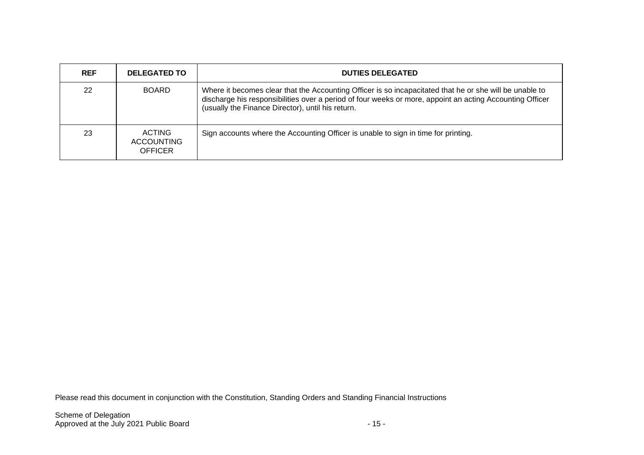| <b>REF</b> | <b>DELEGATED TO</b>                                  | <b>DUTIES DELEGATED</b>                                                                                                                                                                                                                                                  |
|------------|------------------------------------------------------|--------------------------------------------------------------------------------------------------------------------------------------------------------------------------------------------------------------------------------------------------------------------------|
| 22         | <b>BOARD</b>                                         | Where it becomes clear that the Accounting Officer is so incapacitated that he or she will be unable to<br>discharge his responsibilities over a period of four weeks or more, appoint an acting Accounting Officer<br>(usually the Finance Director), until his return. |
| 23         | <b>ACTING</b><br><b>ACCOUNTING</b><br><b>OFFICER</b> | Sign accounts where the Accounting Officer is unable to sign in time for printing.                                                                                                                                                                                       |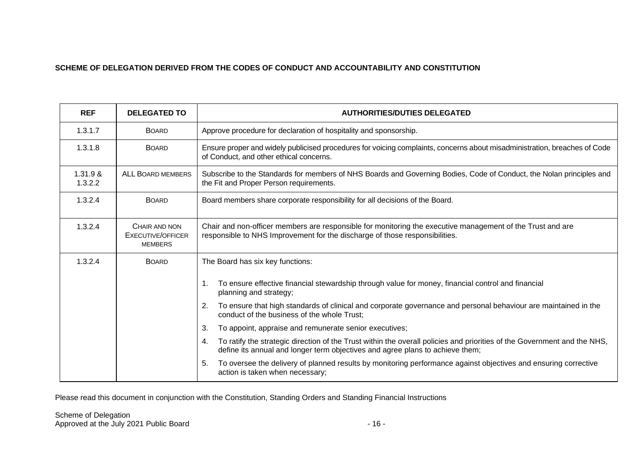### **SCHEME OF DELEGATION DERIVED FROM THE CODES OF CONDUCT AND ACCOUNTABILITY AND CONSTITUTION**

| <b>REF</b>          | <b>DELEGATED TO</b>                                         | <b>AUTHORITIES/DUTIES DELEGATED</b>                                                                                                                                                                             |  |
|---------------------|-------------------------------------------------------------|-----------------------------------------------------------------------------------------------------------------------------------------------------------------------------------------------------------------|--|
| 1.3.1.7             | <b>BOARD</b>                                                | Approve procedure for declaration of hospitality and sponsorship.                                                                                                                                               |  |
| 1.3.1.8             | <b>BOARD</b>                                                | Ensure proper and widely publicised procedures for voicing complaints, concerns about misadministration, breaches of Code<br>of Conduct, and other ethical concerns.                                            |  |
| 1.31.9 &<br>1.3.2.2 | <b>ALL BOARD MEMBERS</b>                                    | Subscribe to the Standards for members of NHS Boards and Governing Bodies, Code of Conduct, the Nolan principles and<br>the Fit and Proper Person requirements.                                                 |  |
| 1.3.2.4             | <b>BOARD</b>                                                | Board members share corporate responsibility for all decisions of the Board.                                                                                                                                    |  |
| 1.3.2.4             | CHAIR AND NON<br><b>EXECUTIVE/OFFICER</b><br><b>MEMBERS</b> | Chair and non-officer members are responsible for monitoring the executive management of the Trust and are<br>responsible to NHS Improvement for the discharge of those responsibilities.                       |  |
| 1.3.2.4             | <b>BOARD</b>                                                | The Board has six key functions:                                                                                                                                                                                |  |
|                     |                                                             | To ensure effective financial stewardship through value for money, financial control and financial<br>1.<br>planning and strategy;                                                                              |  |
|                     |                                                             | To ensure that high standards of clinical and corporate governance and personal behaviour are maintained in the<br>2.<br>conduct of the business of the whole Trust;                                            |  |
|                     |                                                             | To appoint, appraise and remunerate senior executives;<br>3.                                                                                                                                                    |  |
|                     |                                                             | To ratify the strategic direction of the Trust within the overall policies and priorities of the Government and the NHS,<br>4.<br>define its annual and longer term objectives and agree plans to achieve them; |  |
|                     |                                                             | To oversee the delivery of planned results by monitoring performance against objectives and ensuring corrective<br>5.<br>action is taken when necessary;                                                        |  |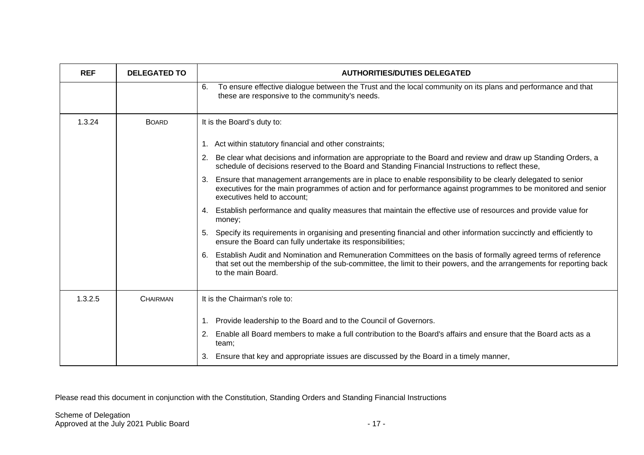| <b>REF</b> | <b>DELEGATED TO</b> | <b>AUTHORITIES/DUTIES DELEGATED</b>                                                                                                                                                                                                                                |
|------------|---------------------|--------------------------------------------------------------------------------------------------------------------------------------------------------------------------------------------------------------------------------------------------------------------|
|            |                     | To ensure effective dialogue between the Trust and the local community on its plans and performance and that<br>6.<br>these are responsive to the community's needs.                                                                                               |
| 1.3.24     | <b>BOARD</b>        | It is the Board's duty to:                                                                                                                                                                                                                                         |
|            |                     | 1. Act within statutory financial and other constraints;                                                                                                                                                                                                           |
|            |                     | Be clear what decisions and information are appropriate to the Board and review and draw up Standing Orders, a<br>2.<br>schedule of decisions reserved to the Board and Standing Financial Instructions to reflect these,                                          |
|            |                     | Ensure that management arrangements are in place to enable responsibility to be clearly delegated to senior<br>3.<br>executives for the main programmes of action and for performance against programmes to be monitored and senior<br>executives held to account: |
|            |                     | 4. Establish performance and quality measures that maintain the effective use of resources and provide value for<br>money;                                                                                                                                         |
|            |                     | 5. Specify its requirements in organising and presenting financial and other information succinctly and efficiently to<br>ensure the Board can fully undertake its responsibilities;                                                                               |
|            |                     | Establish Audit and Nomination and Remuneration Committees on the basis of formally agreed terms of reference<br>6.<br>that set out the membership of the sub-committee, the limit to their powers, and the arrangements for reporting back<br>to the main Board.  |
| 1.3.2.5    | <b>CHAIRMAN</b>     | It is the Chairman's role to:                                                                                                                                                                                                                                      |
|            |                     | Provide leadership to the Board and to the Council of Governors.<br>1.                                                                                                                                                                                             |
|            |                     | Enable all Board members to make a full contribution to the Board's affairs and ensure that the Board acts as a<br>2.<br>team;                                                                                                                                     |
|            |                     | 3. Ensure that key and appropriate issues are discussed by the Board in a timely manner,                                                                                                                                                                           |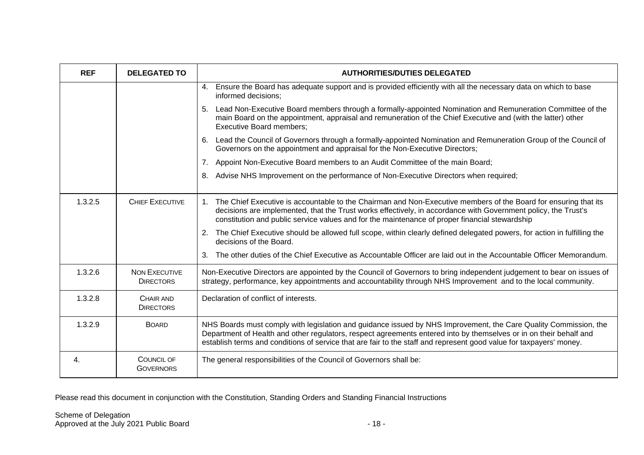| <b>REF</b> | <b>DELEGATED TO</b>                      | <b>AUTHORITIES/DUTIES DELEGATED</b>                                                                                                                                                                                                                                                                                                                           |
|------------|------------------------------------------|---------------------------------------------------------------------------------------------------------------------------------------------------------------------------------------------------------------------------------------------------------------------------------------------------------------------------------------------------------------|
|            |                                          | Ensure the Board has adequate support and is provided efficiently with all the necessary data on which to base<br>4.<br>informed decisions;                                                                                                                                                                                                                   |
|            |                                          | Lead Non-Executive Board members through a formally-appointed Nomination and Remuneration Committee of the<br>5.<br>main Board on the appointment, appraisal and remuneration of the Chief Executive and (with the latter) other<br><b>Executive Board members;</b>                                                                                           |
|            |                                          | Lead the Council of Governors through a formally-appointed Nomination and Remuneration Group of the Council of<br>6.<br>Governors on the appointment and appraisal for the Non-Executive Directors;                                                                                                                                                           |
|            |                                          | 7.<br>Appoint Non-Executive Board members to an Audit Committee of the main Board;                                                                                                                                                                                                                                                                            |
|            |                                          | Advise NHS Improvement on the performance of Non-Executive Directors when required;<br>8.                                                                                                                                                                                                                                                                     |
| 1.3.2.5    | CHIEF EXECUTIVE                          | The Chief Executive is accountable to the Chairman and Non-Executive members of the Board for ensuring that its<br>decisions are implemented, that the Trust works effectively, in accordance with Government policy, the Trust's<br>constitution and public service values and for the maintenance of proper financial stewardship                           |
|            |                                          | 2. The Chief Executive should be allowed full scope, within clearly defined delegated powers, for action in fulfilling the<br>decisions of the Board.                                                                                                                                                                                                         |
|            |                                          | The other duties of the Chief Executive as Accountable Officer are laid out in the Accountable Officer Memorandum.<br>$\mathbf{3}$ .                                                                                                                                                                                                                          |
| 1.3.2.6    | <b>NON EXECUTIVE</b><br><b>DIRECTORS</b> | Non-Executive Directors are appointed by the Council of Governors to bring independent judgement to bear on issues of<br>strategy, performance, key appointments and accountability through NHS Improvement and to the local community.                                                                                                                       |
| 1.3.2.8    | CHAIR AND<br><b>DIRECTORS</b>            | Declaration of conflict of interests.                                                                                                                                                                                                                                                                                                                         |
| 1.3.2.9    | <b>BOARD</b>                             | NHS Boards must comply with legislation and guidance issued by NHS Improvement, the Care Quality Commission, the<br>Department of Health and other regulators, respect agreements entered into by themselves or in on their behalf and<br>establish terms and conditions of service that are fair to the staff and represent good value for taxpayers' money. |
| 4.         | COUNCIL OF<br><b>GOVERNORS</b>           | The general responsibilities of the Council of Governors shall be:                                                                                                                                                                                                                                                                                            |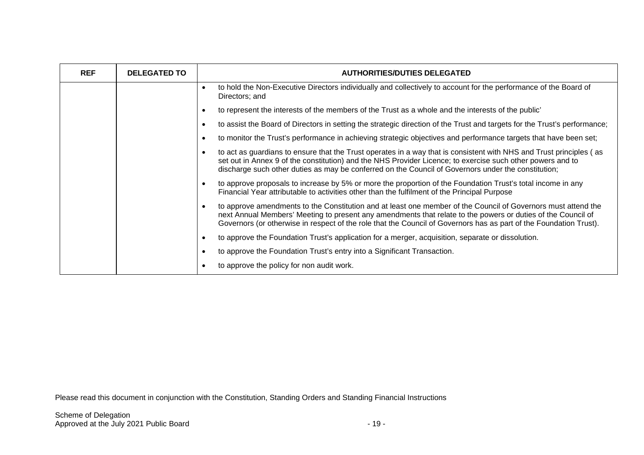| <b>REF</b> | <b>DELEGATED TO</b> | <b>AUTHORITIES/DUTIES DELEGATED</b>                                                                                                                                                                                                                                                                                                                              |
|------------|---------------------|------------------------------------------------------------------------------------------------------------------------------------------------------------------------------------------------------------------------------------------------------------------------------------------------------------------------------------------------------------------|
|            |                     | to hold the Non-Executive Directors individually and collectively to account for the performance of the Board of<br>$\bullet$<br>Directors; and                                                                                                                                                                                                                  |
|            |                     | to represent the interests of the members of the Trust as a whole and the interests of the public'                                                                                                                                                                                                                                                               |
|            |                     | to assist the Board of Directors in setting the strategic direction of the Trust and targets for the Trust's performance;<br>$\bullet$                                                                                                                                                                                                                           |
|            |                     | to monitor the Trust's performance in achieving strategic objectives and performance targets that have been set;<br>$\bullet$                                                                                                                                                                                                                                    |
|            |                     | to act as guardians to ensure that the Trust operates in a way that is consistent with NHS and Trust principles (as<br>$\bullet$<br>set out in Annex 9 of the constitution) and the NHS Provider Licence; to exercise such other powers and to<br>discharge such other duties as may be conferred on the Council of Governors under the constitution;            |
|            |                     | to approve proposals to increase by 5% or more the proportion of the Foundation Trust's total income in any<br>$\bullet$<br>Financial Year attributable to activities other than the fulfilment of the Principal Purpose                                                                                                                                         |
|            |                     | to approve amendments to the Constitution and at least one member of the Council of Governors must attend the<br>$\bullet$<br>next Annual Members' Meeting to present any amendments that relate to the powers or duties of the Council of<br>Governors (or otherwise in respect of the role that the Council of Governors has as part of the Foundation Trust). |
|            |                     | to approve the Foundation Trust's application for a merger, acquisition, separate or dissolution.<br>$\bullet$                                                                                                                                                                                                                                                   |
|            |                     | to approve the Foundation Trust's entry into a Significant Transaction.<br>$\bullet$                                                                                                                                                                                                                                                                             |
|            |                     | to approve the policy for non audit work.                                                                                                                                                                                                                                                                                                                        |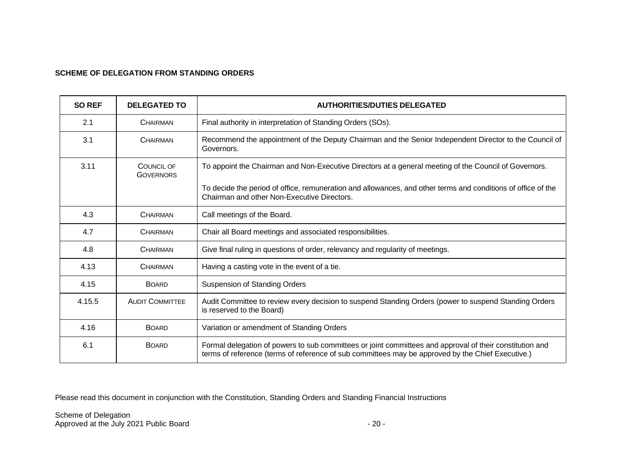#### **SCHEME OF DELEGATION FROM STANDING ORDERS**

| <b>SO REF</b> | <b>DELEGATED TO</b>            | <b>AUTHORITIES/DUTIES DELEGATED</b>                                                                                                                                                                           |
|---------------|--------------------------------|---------------------------------------------------------------------------------------------------------------------------------------------------------------------------------------------------------------|
| 2.1           | CHAIRMAN                       | Final authority in interpretation of Standing Orders (SOs).                                                                                                                                                   |
| 3.1           | <b>CHAIRMAN</b>                | Recommend the appointment of the Deputy Chairman and the Senior Independent Director to the Council of<br>Governors.                                                                                          |
| 3.11          | COUNCIL OF<br><b>GOVERNORS</b> | To appoint the Chairman and Non-Executive Directors at a general meeting of the Council of Governors.                                                                                                         |
|               |                                | To decide the period of office, remuneration and allowances, and other terms and conditions of office of the<br>Chairman and other Non-Executive Directors.                                                   |
| 4.3           | <b>CHAIRMAN</b>                | Call meetings of the Board.                                                                                                                                                                                   |
| 4.7           | <b>CHAIRMAN</b>                | Chair all Board meetings and associated responsibilities.                                                                                                                                                     |
| 4.8           | <b>CHAIRMAN</b>                | Give final ruling in questions of order, relevancy and regularity of meetings.                                                                                                                                |
| 4.13          | <b>CHAIRMAN</b>                | Having a casting vote in the event of a tie.                                                                                                                                                                  |
| 4.15          | <b>BOARD</b>                   | <b>Suspension of Standing Orders</b>                                                                                                                                                                          |
| 4.15.5        | <b>AUDIT COMMITTEE</b>         | Audit Committee to review every decision to suspend Standing Orders (power to suspend Standing Orders<br>is reserved to the Board)                                                                            |
| 4.16          | <b>BOARD</b>                   | Variation or amendment of Standing Orders                                                                                                                                                                     |
| 6.1           | <b>BOARD</b>                   | Formal delegation of powers to sub committees or joint committees and approval of their constitution and<br>terms of reference (terms of reference of sub committees may be approved by the Chief Executive.) |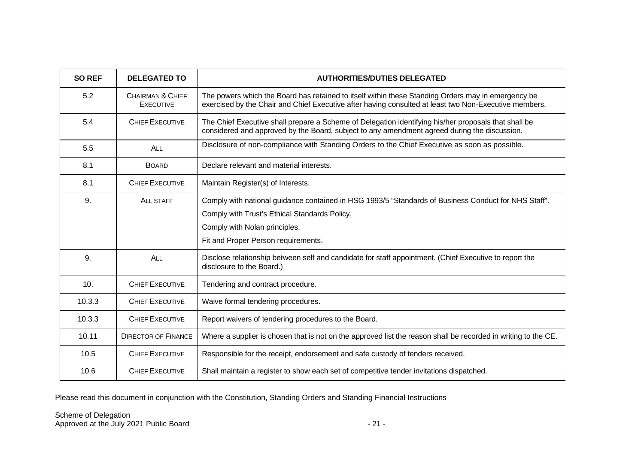| <b>SO REF</b> | <b>DELEGATED TO</b>                             | <b>AUTHORITIES/DUTIES DELEGATED</b>                                                                                                                                                                                           |
|---------------|-------------------------------------------------|-------------------------------------------------------------------------------------------------------------------------------------------------------------------------------------------------------------------------------|
| 5.2           | <b>CHAIRMAN &amp; CHIEF</b><br><b>EXECUTIVE</b> | The powers which the Board has retained to itself within these Standing Orders may in emergency be<br>exercised by the Chair and Chief Executive after having consulted at least two Non-Executive members.                   |
| 5.4           | <b>CHIEF EXECUTIVE</b>                          | The Chief Executive shall prepare a Scheme of Delegation identifying his/her proposals that shall be<br>considered and approved by the Board, subject to any amendment agreed during the discussion.                          |
| 5.5           | ALL                                             | Disclosure of non-compliance with Standing Orders to the Chief Executive as soon as possible.                                                                                                                                 |
| 8.1           | <b>BOARD</b>                                    | Declare relevant and material interests.                                                                                                                                                                                      |
| 8.1           | <b>CHIEF EXECUTIVE</b>                          | Maintain Register(s) of Interests.                                                                                                                                                                                            |
| 9.            | <b>ALL STAFF</b>                                | Comply with national guidance contained in HSG 1993/5 "Standards of Business Conduct for NHS Staff".<br>Comply with Trust's Ethical Standards Policy.<br>Comply with Nolan principles.<br>Fit and Proper Person requirements. |
| 9.            | ALL                                             | Disclose relationship between self and candidate for staff appointment. (Chief Executive to report the<br>disclosure to the Board.)                                                                                           |
| 10.           | <b>CHIEF EXECUTIVE</b>                          | Tendering and contract procedure.                                                                                                                                                                                             |
| 10.3.3        | <b>CHIEF EXECUTIVE</b>                          | Waive formal tendering procedures.                                                                                                                                                                                            |
| 10.3.3        | <b>CHIEF EXECUTIVE</b>                          | Report waivers of tendering procedures to the Board.                                                                                                                                                                          |
| 10.11         | <b>DIRECTOR OF FINANCE</b>                      | Where a supplier is chosen that is not on the approved list the reason shall be recorded in writing to the CE.                                                                                                                |
| 10.5          | <b>CHIEF EXECUTIVE</b>                          | Responsible for the receipt, endorsement and safe custody of tenders received.                                                                                                                                                |
| 10.6          | <b>CHIEF EXECUTIVE</b>                          | Shall maintain a register to show each set of competitive tender invitations dispatched.                                                                                                                                      |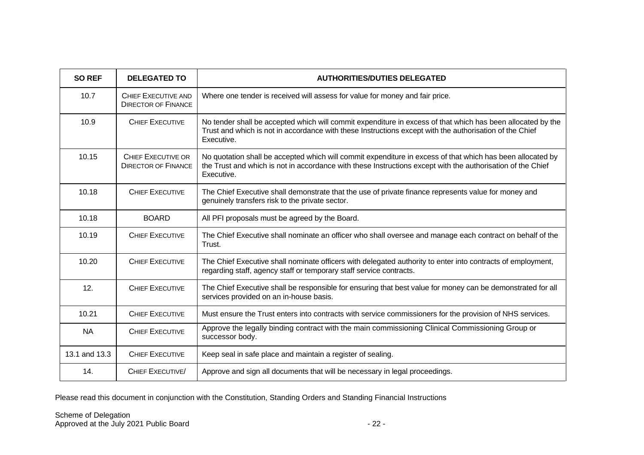| <b>SO REF</b> | <b>DELEGATED TO</b>                                      | <b>AUTHORITIES/DUTIES DELEGATED</b>                                                                                                                                                                                                     |
|---------------|----------------------------------------------------------|-----------------------------------------------------------------------------------------------------------------------------------------------------------------------------------------------------------------------------------------|
| 10.7          | <b>CHIEF EXECUTIVE AND</b><br><b>DIRECTOR OF FINANCE</b> | Where one tender is received will assess for value for money and fair price.                                                                                                                                                            |
| 10.9          | <b>CHIEF EXECUTIVE</b>                                   | No tender shall be accepted which will commit expenditure in excess of that which has been allocated by the<br>Trust and which is not in accordance with these Instructions except with the authorisation of the Chief<br>Executive.    |
| 10.15         | <b>CHIEF EXECUTIVE OR</b><br><b>DIRECTOR OF FINANCE</b>  | No quotation shall be accepted which will commit expenditure in excess of that which has been allocated by<br>the Trust and which is not in accordance with these Instructions except with the authorisation of the Chief<br>Executive. |
| 10.18         | <b>CHIEF EXECUTIVE</b>                                   | The Chief Executive shall demonstrate that the use of private finance represents value for money and<br>genuinely transfers risk to the private sector.                                                                                 |
| 10.18         | <b>BOARD</b>                                             | All PFI proposals must be agreed by the Board.                                                                                                                                                                                          |
| 10.19         | <b>CHIEF EXECUTIVE</b>                                   | The Chief Executive shall nominate an officer who shall oversee and manage each contract on behalf of the<br>Trust.                                                                                                                     |
| 10.20         | <b>CHIEF EXECUTIVE</b>                                   | The Chief Executive shall nominate officers with delegated authority to enter into contracts of employment,<br>regarding staff, agency staff or temporary staff service contracts.                                                      |
| 12.           | <b>CHIEF EXECUTIVE</b>                                   | The Chief Executive shall be responsible for ensuring that best value for money can be demonstrated for all<br>services provided on an in-house basis.                                                                                  |
| 10.21         | <b>CHIEF EXECUTIVE</b>                                   | Must ensure the Trust enters into contracts with service commissioners for the provision of NHS services.                                                                                                                               |
| <b>NA</b>     | <b>CHIEF EXECUTIVE</b>                                   | Approve the legally binding contract with the main commissioning Clinical Commissioning Group or<br>successor body.                                                                                                                     |
| 13.1 and 13.3 | <b>CHIEF EXECUTIVE</b>                                   | Keep seal in safe place and maintain a register of sealing.                                                                                                                                                                             |
| 14.           | <b>CHIEF EXECUTIVE/</b>                                  | Approve and sign all documents that will be necessary in legal proceedings.                                                                                                                                                             |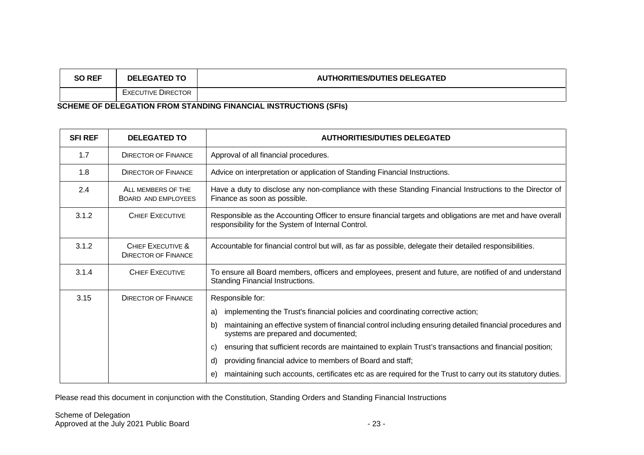| <b>SO REF</b>                                                    | <b>DELEGATED TO</b>       | <b>AUTHORITIES/DUTIES DELEGATED</b> |
|------------------------------------------------------------------|---------------------------|-------------------------------------|
|                                                                  | <b>EXECUTIVE DIRECTOR</b> |                                     |
| COUFME OF BELFOATION FROM CTANDING FINANCIAL INCTRUCTIONS (CELL) |                           |                                     |

**SCHEME OF DELEGATION FROM STANDING FINANCIAL INSTRUCTIONS (SFIs)**

| <b>SFI REF</b> | <b>DELEGATED TO</b>                             | <b>AUTHORITIES/DUTIES DELEGATED</b>                                                                                                                              |
|----------------|-------------------------------------------------|------------------------------------------------------------------------------------------------------------------------------------------------------------------|
| 1.7            | <b>DIRECTOR OF FINANCE</b>                      | Approval of all financial procedures.                                                                                                                            |
| 1.8            | <b>DIRECTOR OF FINANCE</b>                      | Advice on interpretation or application of Standing Financial Instructions.                                                                                      |
| 2.4            | ALL MEMBERS OF THE<br>BOARD AND EMPLOYEES       | Have a duty to disclose any non-compliance with these Standing Financial Instructions to the Director of<br>Finance as soon as possible.                         |
| 3.1.2          | <b>CHIEF EXECUTIVE</b>                          | Responsible as the Accounting Officer to ensure financial targets and obligations are met and have overall<br>responsibility for the System of Internal Control. |
| 3.1.2          | CHIEF EXECUTIVE &<br><b>DIRECTOR OF FINANCE</b> | Accountable for financial control but will, as far as possible, delegate their detailed responsibilities.                                                        |
| 3.1.4          | <b>CHIEF EXECUTIVE</b>                          | To ensure all Board members, officers and employees, present and future, are notified of and understand<br>Standing Financial Instructions.                      |
| 3.15           | <b>DIRECTOR OF FINANCE</b>                      | Responsible for:                                                                                                                                                 |
|                |                                                 | implementing the Trust's financial policies and coordinating corrective action;<br>a)                                                                            |
|                |                                                 | maintaining an effective system of financial control including ensuring detailed financial procedures and<br>b)<br>systems are prepared and documented;          |
|                |                                                 | ensuring that sufficient records are maintained to explain Trust's transactions and financial position;<br>C)                                                    |
|                |                                                 | providing financial advice to members of Board and staff;<br>d)                                                                                                  |
|                |                                                 | maintaining such accounts, certificates etc as are required for the Trust to carry out its statutory duties.<br>e)                                               |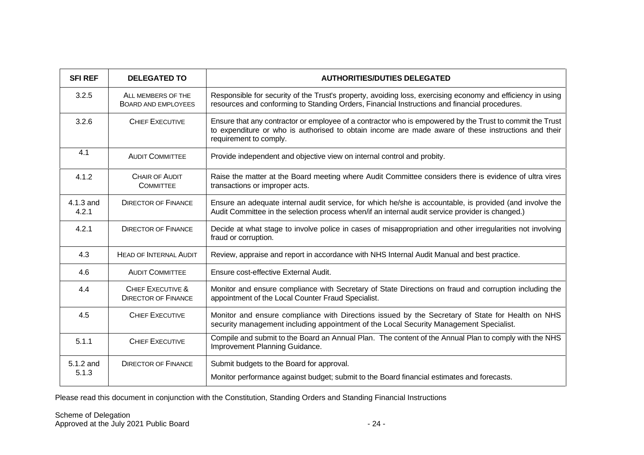| <b>SFI REF</b>     | <b>DELEGATED TO</b>                             | <b>AUTHORITIES/DUTIES DELEGATED</b>                                                                                                                                                                                                       |
|--------------------|-------------------------------------------------|-------------------------------------------------------------------------------------------------------------------------------------------------------------------------------------------------------------------------------------------|
| 3.2.5              | ALL MEMBERS OF THE<br>BOARD AND EMPLOYEES       | Responsible for security of the Trust's property, avoiding loss, exercising economy and efficiency in using<br>resources and conforming to Standing Orders, Financial Instructions and financial procedures.                              |
| 3.2.6              | <b>CHIEF EXECUTIVE</b>                          | Ensure that any contractor or employee of a contractor who is empowered by the Trust to commit the Trust<br>to expenditure or who is authorised to obtain income are made aware of these instructions and their<br>requirement to comply. |
| 4.1                | <b>AUDIT COMMITTEE</b>                          | Provide independent and objective view on internal control and probity.                                                                                                                                                                   |
| 4.1.2              | <b>CHAIR OF AUDIT</b><br><b>COMMITTEE</b>       | Raise the matter at the Board meeting where Audit Committee considers there is evidence of ultra vires<br>transactions or improper acts.                                                                                                  |
| 4.1.3 and<br>4.2.1 | <b>DIRECTOR OF FINANCE</b>                      | Ensure an adequate internal audit service, for which he/she is accountable, is provided (and involve the<br>Audit Committee in the selection process when/if an internal audit service provider is changed.)                              |
| 4.2.1              | <b>DIRECTOR OF FINANCE</b>                      | Decide at what stage to involve police in cases of misappropriation and other irregularities not involving<br>fraud or corruption.                                                                                                        |
| 4.3                | <b>HEAD OF INTERNAL AUDIT</b>                   | Review, appraise and report in accordance with NHS Internal Audit Manual and best practice.                                                                                                                                               |
| 4.6                | <b>AUDIT COMMITTEE</b>                          | Ensure cost-effective External Audit.                                                                                                                                                                                                     |
| 4.4                | CHIEF EXECUTIVE &<br><b>DIRECTOR OF FINANCE</b> | Monitor and ensure compliance with Secretary of State Directions on fraud and corruption including the<br>appointment of the Local Counter Fraud Specialist.                                                                              |
| 4.5                | <b>CHIEF EXECUTIVE</b>                          | Monitor and ensure compliance with Directions issued by the Secretary of State for Health on NHS<br>security management including appointment of the Local Security Management Specialist.                                                |
| 5.1.1              | <b>CHIEF EXECUTIVE</b>                          | Compile and submit to the Board an Annual Plan. The content of the Annual Plan to comply with the NHS<br>Improvement Planning Guidance.                                                                                                   |
| 5.1.2 and<br>5.1.3 | <b>DIRECTOR OF FINANCE</b>                      | Submit budgets to the Board for approval.<br>Monitor performance against budget; submit to the Board financial estimates and forecasts.                                                                                                   |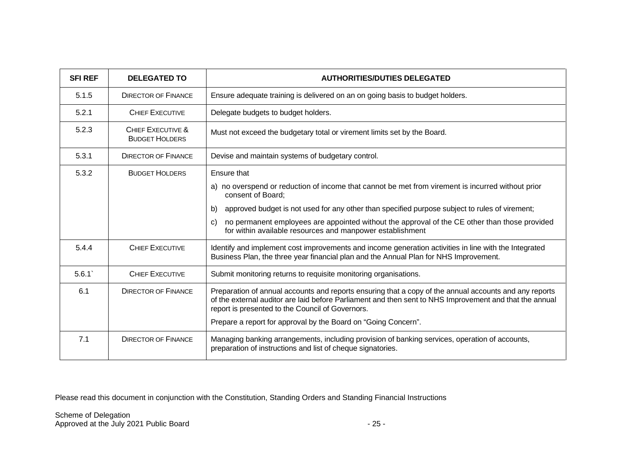| <b>SFI REF</b> | <b>DELEGATED TO</b>                        | <b>AUTHORITIES/DUTIES DELEGATED</b>                                                                                                                                                                                                                                   |
|----------------|--------------------------------------------|-----------------------------------------------------------------------------------------------------------------------------------------------------------------------------------------------------------------------------------------------------------------------|
| 5.1.5          | <b>DIRECTOR OF FINANCE</b>                 | Ensure adequate training is delivered on an on going basis to budget holders.                                                                                                                                                                                         |
| 5.2.1          | <b>CHIEF EXECUTIVE</b>                     | Delegate budgets to budget holders.                                                                                                                                                                                                                                   |
| 5.2.3          | CHIFF EXECUTIVE &<br><b>BUDGET HOLDERS</b> | Must not exceed the budgetary total or virement limits set by the Board.                                                                                                                                                                                              |
| 5.3.1          | <b>DIRECTOR OF FINANCE</b>                 | Devise and maintain systems of budgetary control.                                                                                                                                                                                                                     |
| 5.3.2          | <b>BUDGET HOLDERS</b>                      | Ensure that                                                                                                                                                                                                                                                           |
|                |                                            | a) no overspend or reduction of income that cannot be met from virement is incurred without prior<br>consent of Board;                                                                                                                                                |
|                |                                            | approved budget is not used for any other than specified purpose subject to rules of virement;<br>b)                                                                                                                                                                  |
|                |                                            | no permanent employees are appointed without the approval of the CE other than those provided<br>C)<br>for within available resources and manpower establishment                                                                                                      |
| 5.4.4          | <b>CHIEF EXECUTIVE</b>                     | Identify and implement cost improvements and income generation activities in line with the Integrated<br>Business Plan, the three year financial plan and the Annual Plan for NHS Improvement.                                                                        |
| 5.6.1          | <b>CHIEF EXECUTIVE</b>                     | Submit monitoring returns to requisite monitoring organisations.                                                                                                                                                                                                      |
| 6.1            | <b>DIRECTOR OF FINANCE</b>                 | Preparation of annual accounts and reports ensuring that a copy of the annual accounts and any reports<br>of the external auditor are laid before Parliament and then sent to NHS Improvement and that the annual<br>report is presented to the Council of Governors. |
|                |                                            | Prepare a report for approval by the Board on "Going Concern".                                                                                                                                                                                                        |
| 7.1            | <b>DIRECTOR OF FINANCE</b>                 | Managing banking arrangements, including provision of banking services, operation of accounts,<br>preparation of instructions and list of cheque signatories.                                                                                                         |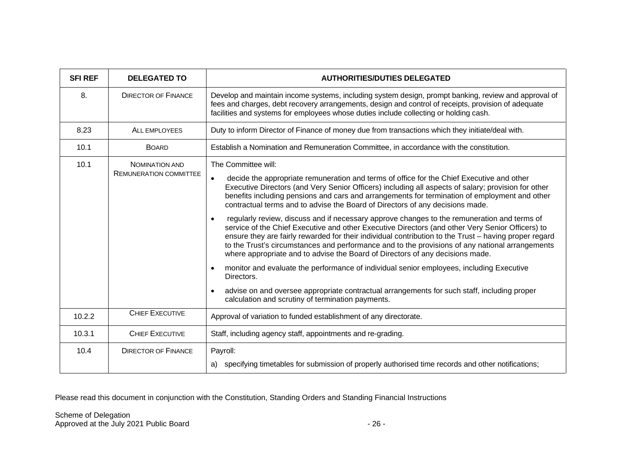| <b>SFI REF</b> | <b>DELEGATED TO</b>                                    | <b>AUTHORITIES/DUTIES DELEGATED</b>                                                                                                                                                                                                                                                                                                                                                                                                                                                                                                                                                                                                                                                                                                                                                                                                                                                                                                                                                                                                                                                                                                                                                                                         |
|----------------|--------------------------------------------------------|-----------------------------------------------------------------------------------------------------------------------------------------------------------------------------------------------------------------------------------------------------------------------------------------------------------------------------------------------------------------------------------------------------------------------------------------------------------------------------------------------------------------------------------------------------------------------------------------------------------------------------------------------------------------------------------------------------------------------------------------------------------------------------------------------------------------------------------------------------------------------------------------------------------------------------------------------------------------------------------------------------------------------------------------------------------------------------------------------------------------------------------------------------------------------------------------------------------------------------|
| 8.             | <b>DIRECTOR OF FINANCE</b>                             | Develop and maintain income systems, including system design, prompt banking, review and approval of<br>fees and charges, debt recovery arrangements, design and control of receipts, provision of adequate<br>facilities and systems for employees whose duties include collecting or holding cash.                                                                                                                                                                                                                                                                                                                                                                                                                                                                                                                                                                                                                                                                                                                                                                                                                                                                                                                        |
| 8.23           | <b>ALL EMPLOYEES</b>                                   | Duty to inform Director of Finance of money due from transactions which they initiate/deal with.                                                                                                                                                                                                                                                                                                                                                                                                                                                                                                                                                                                                                                                                                                                                                                                                                                                                                                                                                                                                                                                                                                                            |
| 10.1           | <b>BOARD</b>                                           | Establish a Nomination and Remuneration Committee, in accordance with the constitution.                                                                                                                                                                                                                                                                                                                                                                                                                                                                                                                                                                                                                                                                                                                                                                                                                                                                                                                                                                                                                                                                                                                                     |
| 10.1           | <b>NOMINATION AND</b><br><b>REMUNERATION COMMITTEE</b> | The Committee will:<br>decide the appropriate remuneration and terms of office for the Chief Executive and other<br>$\bullet$<br>Executive Directors (and Very Senior Officers) including all aspects of salary; provision for other<br>benefits including pensions and cars and arrangements for termination of employment and other<br>contractual terms and to advise the Board of Directors of any decisions made.<br>regularly review, discuss and if necessary approve changes to the remuneration and terms of<br>$\bullet$<br>service of the Chief Executive and other Executive Directors (and other Very Senior Officers) to<br>ensure they are fairly rewarded for their individual contribution to the Trust - having proper regard<br>to the Trust's circumstances and performance and to the provisions of any national arrangements<br>where appropriate and to advise the Board of Directors of any decisions made.<br>monitor and evaluate the performance of individual senior employees, including Executive<br>$\bullet$<br>Directors.<br>advise on and oversee appropriate contractual arrangements for such staff, including proper<br>$\bullet$<br>calculation and scrutiny of termination payments. |
| 10.2.2         | CHIEF EXECUTIVE                                        | Approval of variation to funded establishment of any directorate.                                                                                                                                                                                                                                                                                                                                                                                                                                                                                                                                                                                                                                                                                                                                                                                                                                                                                                                                                                                                                                                                                                                                                           |
| 10.3.1         | <b>CHIEF EXECUTIVE</b>                                 | Staff, including agency staff, appointments and re-grading.                                                                                                                                                                                                                                                                                                                                                                                                                                                                                                                                                                                                                                                                                                                                                                                                                                                                                                                                                                                                                                                                                                                                                                 |
| 10.4           | <b>DIRECTOR OF FINANCE</b>                             | Payroll:<br>a) specifying timetables for submission of properly authorised time records and other notifications;                                                                                                                                                                                                                                                                                                                                                                                                                                                                                                                                                                                                                                                                                                                                                                                                                                                                                                                                                                                                                                                                                                            |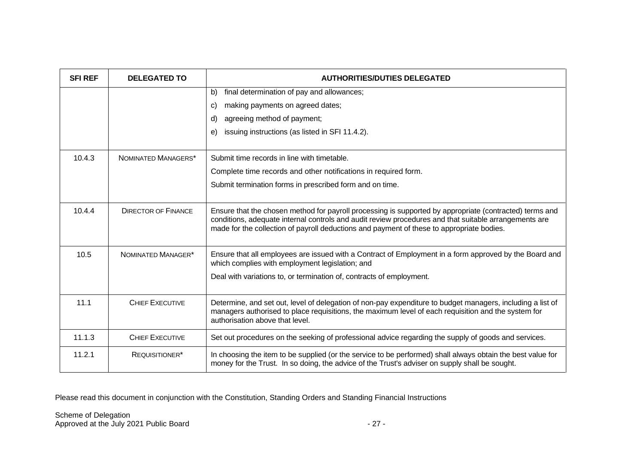| <b>SFI REF</b> | <b>DELEGATED TO</b>        | <b>AUTHORITIES/DUTIES DELEGATED</b>                                                                                                                                                                                                                                                                           |
|----------------|----------------------------|---------------------------------------------------------------------------------------------------------------------------------------------------------------------------------------------------------------------------------------------------------------------------------------------------------------|
|                |                            | final determination of pay and allowances;<br>b)                                                                                                                                                                                                                                                              |
|                |                            | making payments on agreed dates;<br>C)                                                                                                                                                                                                                                                                        |
|                |                            | agreeing method of payment;<br>d)                                                                                                                                                                                                                                                                             |
|                |                            | issuing instructions (as listed in SFI 11.4.2).<br>e)                                                                                                                                                                                                                                                         |
| 10.4.3         | NOMINATED MANAGERS*        | Submit time records in line with timetable.                                                                                                                                                                                                                                                                   |
|                |                            | Complete time records and other notifications in required form.                                                                                                                                                                                                                                               |
|                |                            | Submit termination forms in prescribed form and on time.                                                                                                                                                                                                                                                      |
|                |                            |                                                                                                                                                                                                                                                                                                               |
| 10.4.4         | <b>DIRECTOR OF FINANCE</b> | Ensure that the chosen method for payroll processing is supported by appropriate (contracted) terms and<br>conditions, adequate internal controls and audit review procedures and that suitable arrangements are<br>made for the collection of payroll deductions and payment of these to appropriate bodies. |
| 10.5           | NOMINATED MANAGER*         | Ensure that all employees are issued with a Contract of Employment in a form approved by the Board and<br>which complies with employment legislation; and                                                                                                                                                     |
|                |                            | Deal with variations to, or termination of, contracts of employment.                                                                                                                                                                                                                                          |
| 11.1           | CHIFF EXECUTIVE            | Determine, and set out, level of delegation of non-pay expenditure to budget managers, including a list of<br>managers authorised to place requisitions, the maximum level of each requisition and the system for<br>authorisation above that level.                                                          |
| 11.1.3         | <b>CHIEF EXECUTIVE</b>     | Set out procedures on the seeking of professional advice regarding the supply of goods and services.                                                                                                                                                                                                          |
| 11.2.1         | REQUISITIONER*             | In choosing the item to be supplied (or the service to be performed) shall always obtain the best value for<br>money for the Trust. In so doing, the advice of the Trust's adviser on supply shall be sought.                                                                                                 |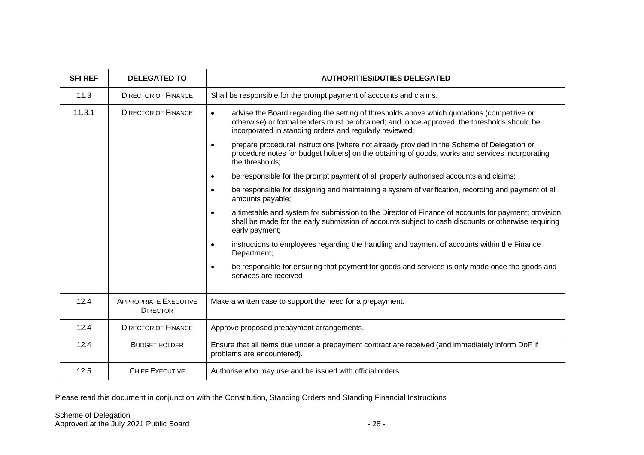| <b>SFI REF</b> | <b>DELEGATED TO</b>                             | <b>AUTHORITIES/DUTIES DELEGATED</b>                                                                                                                                                                                                                                |
|----------------|-------------------------------------------------|--------------------------------------------------------------------------------------------------------------------------------------------------------------------------------------------------------------------------------------------------------------------|
| 11.3           | <b>DIRECTOR OF FINANCE</b>                      | Shall be responsible for the prompt payment of accounts and claims.                                                                                                                                                                                                |
| 11.3.1         | <b>DIRECTOR OF FINANCE</b>                      | advise the Board regarding the setting of thresholds above which quotations (competitive or<br>$\bullet$<br>otherwise) or formal tenders must be obtained; and, once approved, the thresholds should be<br>incorporated in standing orders and regularly reviewed; |
|                |                                                 | prepare procedural instructions [where not already provided in the Scheme of Delegation or<br>$\bullet$<br>procedure notes for budget holders] on the obtaining of goods, works and services incorporating<br>the thresholds;                                      |
|                |                                                 | be responsible for the prompt payment of all properly authorised accounts and claims;<br>$\bullet$                                                                                                                                                                 |
|                |                                                 | be responsible for designing and maintaining a system of verification, recording and payment of all<br>$\bullet$<br>amounts payable;                                                                                                                               |
|                |                                                 | a timetable and system for submission to the Director of Finance of accounts for payment; provision<br>$\bullet$<br>shall be made for the early submission of accounts subject to cash discounts or otherwise requiring<br>early payment;                          |
|                |                                                 | instructions to employees regarding the handling and payment of accounts within the Finance<br>$\bullet$<br>Department;                                                                                                                                            |
|                |                                                 | be responsible for ensuring that payment for goods and services is only made once the goods and<br>$\bullet$<br>services are received                                                                                                                              |
| 12.4           | <b>APPROPRIATE EXECUTIVE</b><br><b>DIRECTOR</b> | Make a written case to support the need for a prepayment.                                                                                                                                                                                                          |
| 12.4           | <b>DIRECTOR OF FINANCE</b>                      | Approve proposed prepayment arrangements.                                                                                                                                                                                                                          |
| 12.4           | <b>BUDGET HOLDER</b>                            | Ensure that all items due under a prepayment contract are received (and immediately inform DoF if<br>problems are encountered).                                                                                                                                    |
| 12.5           | <b>CHIEF EXECUTIVE</b>                          | Authorise who may use and be issued with official orders.                                                                                                                                                                                                          |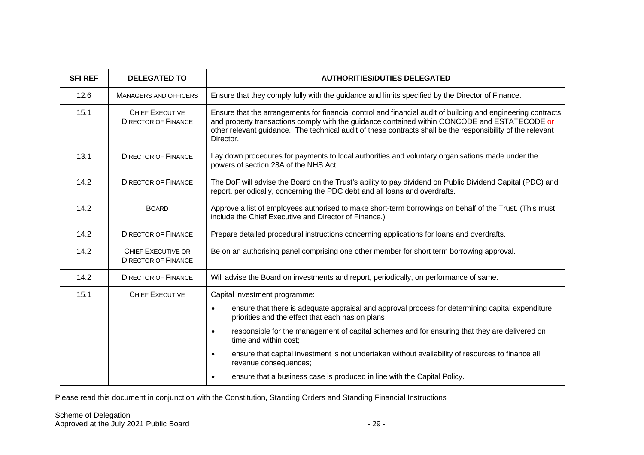| <b>SFI REF</b> | <b>DELEGATED TO</b>                                     | <b>AUTHORITIES/DUTIES DELEGATED</b>                                                                                                                                                                                                                                                                                                       |
|----------------|---------------------------------------------------------|-------------------------------------------------------------------------------------------------------------------------------------------------------------------------------------------------------------------------------------------------------------------------------------------------------------------------------------------|
| 12.6           | <b>MANAGERS AND OFFICERS</b>                            | Ensure that they comply fully with the guidance and limits specified by the Director of Finance.                                                                                                                                                                                                                                          |
| 15.1           | <b>CHIEF EXECUTIVE</b><br><b>DIRECTOR OF FINANCE</b>    | Ensure that the arrangements for financial control and financial audit of building and engineering contracts<br>and property transactions comply with the guidance contained within CONCODE and ESTATECODE or<br>other relevant guidance. The technical audit of these contracts shall be the responsibility of the relevant<br>Director. |
| 13.1           | <b>DIRECTOR OF FINANCE</b>                              | Lay down procedures for payments to local authorities and voluntary organisations made under the<br>powers of section 28A of the NHS Act.                                                                                                                                                                                                 |
| 14.2           | <b>DIRECTOR OF FINANCE</b>                              | The DoF will advise the Board on the Trust's ability to pay dividend on Public Dividend Capital (PDC) and<br>report, periodically, concerning the PDC debt and all loans and overdrafts.                                                                                                                                                  |
| 14.2           | <b>BOARD</b>                                            | Approve a list of employees authorised to make short-term borrowings on behalf of the Trust. (This must<br>include the Chief Executive and Director of Finance.)                                                                                                                                                                          |
| 14.2           | <b>DIRECTOR OF FINANCE</b>                              | Prepare detailed procedural instructions concerning applications for loans and overdrafts.                                                                                                                                                                                                                                                |
| 14.2           | <b>CHIEF EXECUTIVE OR</b><br><b>DIRECTOR OF FINANCE</b> | Be on an authorising panel comprising one other member for short term borrowing approval.                                                                                                                                                                                                                                                 |
| 14.2           | <b>DIRECTOR OF FINANCE</b>                              | Will advise the Board on investments and report, periodically, on performance of same.                                                                                                                                                                                                                                                    |
| 15.1           | <b>CHIEF EXECUTIVE</b>                                  | Capital investment programme:                                                                                                                                                                                                                                                                                                             |
|                |                                                         | ensure that there is adequate appraisal and approval process for determining capital expenditure<br>$\bullet$<br>priorities and the effect that each has on plans                                                                                                                                                                         |
|                |                                                         | responsible for the management of capital schemes and for ensuring that they are delivered on<br>$\bullet$<br>time and within cost;                                                                                                                                                                                                       |
|                |                                                         | ensure that capital investment is not undertaken without availability of resources to finance all<br>$\bullet$<br>revenue consequences;                                                                                                                                                                                                   |
|                |                                                         | ensure that a business case is produced in line with the Capital Policy.<br>$\bullet$                                                                                                                                                                                                                                                     |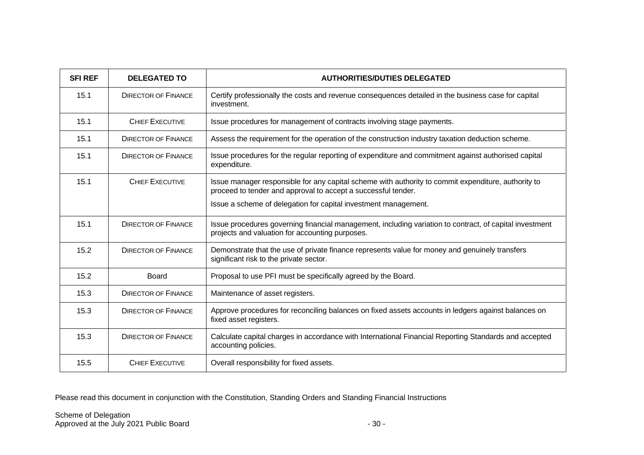| <b>SFI REF</b> | <b>DELEGATED TO</b>        | <b>AUTHORITIES/DUTIES DELEGATED</b>                                                                                                                                  |
|----------------|----------------------------|----------------------------------------------------------------------------------------------------------------------------------------------------------------------|
| 15.1           | <b>DIRECTOR OF FINANCE</b> | Certify professionally the costs and revenue consequences detailed in the business case for capital<br>investment.                                                   |
| 15.1           | <b>CHIEF EXECUTIVE</b>     | Issue procedures for management of contracts involving stage payments.                                                                                               |
| 15.1           | <b>DIRECTOR OF FINANCE</b> | Assess the requirement for the operation of the construction industry taxation deduction scheme.                                                                     |
| 15.1           | <b>DIRECTOR OF FINANCE</b> | Issue procedures for the regular reporting of expenditure and commitment against authorised capital<br>expenditure.                                                  |
| 15.1           | <b>CHIEF EXECUTIVE</b>     | Issue manager responsible for any capital scheme with authority to commit expenditure, authority to<br>proceed to tender and approval to accept a successful tender. |
|                |                            | Issue a scheme of delegation for capital investment management.                                                                                                      |
| 15.1           | <b>DIRECTOR OF FINANCE</b> | Issue procedures governing financial management, including variation to contract, of capital investment<br>projects and valuation for accounting purposes.           |
| 15.2           | <b>DIRECTOR OF FINANCE</b> | Demonstrate that the use of private finance represents value for money and genuinely transfers<br>significant risk to the private sector.                            |
| 15.2           | <b>Board</b>               | Proposal to use PFI must be specifically agreed by the Board.                                                                                                        |
| 15.3           | <b>DIRECTOR OF FINANCE</b> | Maintenance of asset registers.                                                                                                                                      |
| 15.3           | <b>DIRECTOR OF FINANCE</b> | Approve procedures for reconciling balances on fixed assets accounts in ledgers against balances on<br>fixed asset registers.                                        |
| 15.3           | <b>DIRECTOR OF FINANCE</b> | Calculate capital charges in accordance with International Financial Reporting Standards and accepted<br>accounting policies.                                        |
| 15.5           | <b>CHIEF EXECUTIVE</b>     | Overall responsibility for fixed assets.                                                                                                                             |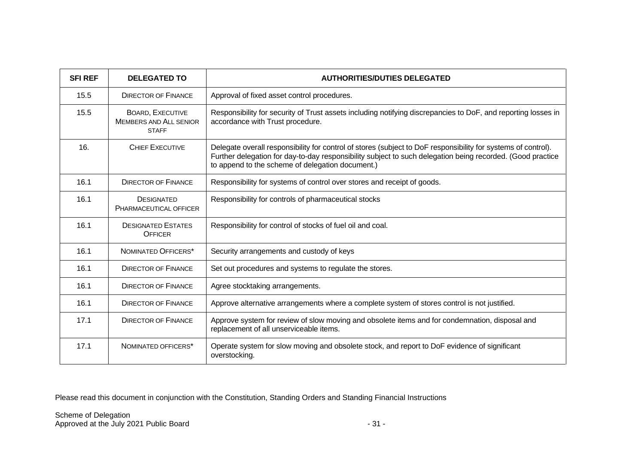| <b>SFI REF</b> | <b>DELEGATED TO</b>                                                      | <b>AUTHORITIES/DUTIES DELEGATED</b>                                                                                                                                                                                                                                             |
|----------------|--------------------------------------------------------------------------|---------------------------------------------------------------------------------------------------------------------------------------------------------------------------------------------------------------------------------------------------------------------------------|
| 15.5           | <b>DIRECTOR OF FINANCE</b>                                               | Approval of fixed asset control procedures.                                                                                                                                                                                                                                     |
| 15.5           | <b>BOARD, EXECUTIVE</b><br><b>MEMBERS AND ALL SENIOR</b><br><b>STAFF</b> | Responsibility for security of Trust assets including notifying discrepancies to DoF, and reporting losses in<br>accordance with Trust procedure.                                                                                                                               |
| 16.            | CHIFF EXECUTIVE                                                          | Delegate overall responsibility for control of stores (subject to DoF responsibility for systems of control).<br>Further delegation for day-to-day responsibility subject to such delegation being recorded. (Good practice<br>to append to the scheme of delegation document.) |
| 16.1           | <b>DIRECTOR OF FINANCE</b>                                               | Responsibility for systems of control over stores and receipt of goods.                                                                                                                                                                                                         |
| 16.1           | <b>DESIGNATED</b><br>PHARMACEUTICAL OFFICER                              | Responsibility for controls of pharmaceutical stocks                                                                                                                                                                                                                            |
| 16.1           | <b>DESIGNATED ESTATES</b><br><b>OFFICER</b>                              | Responsibility for control of stocks of fuel oil and coal.                                                                                                                                                                                                                      |
| 16.1           | NOMINATED OFFICERS*                                                      | Security arrangements and custody of keys                                                                                                                                                                                                                                       |
| 16.1           | <b>DIRECTOR OF FINANCE</b>                                               | Set out procedures and systems to regulate the stores.                                                                                                                                                                                                                          |
| 16.1           | <b>DIRECTOR OF FINANCE</b>                                               | Agree stocktaking arrangements.                                                                                                                                                                                                                                                 |
| 16.1           | <b>DIRECTOR OF FINANCE</b>                                               | Approve alternative arrangements where a complete system of stores control is not justified.                                                                                                                                                                                    |
| 17.1           | <b>DIRECTOR OF FINANCE</b>                                               | Approve system for review of slow moving and obsolete items and for condemnation, disposal and<br>replacement of all unserviceable items.                                                                                                                                       |
| 17.1           | NOMINATED OFFICERS*                                                      | Operate system for slow moving and obsolete stock, and report to DoF evidence of significant<br>overstocking.                                                                                                                                                                   |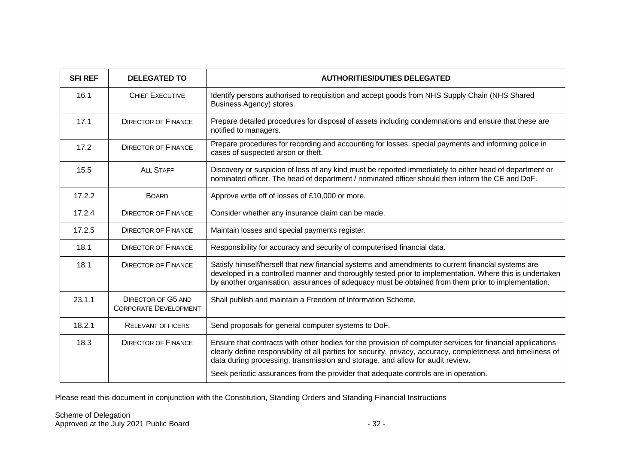| <b>SFI REF</b> | <b>DELEGATED TO</b>                                       | <b>AUTHORITIES/DUTIES DELEGATED</b>                                                                                                                                                                                                                                                                                   |
|----------------|-----------------------------------------------------------|-----------------------------------------------------------------------------------------------------------------------------------------------------------------------------------------------------------------------------------------------------------------------------------------------------------------------|
| 16.1           | <b>CHIEF EXECUTIVE</b>                                    | Identify persons authorised to requisition and accept goods from NHS Supply Chain (NHS Shared<br>Business Agency) stores.                                                                                                                                                                                             |
| 17.1           | <b>DIRECTOR OF FINANCE</b>                                | Prepare detailed procedures for disposal of assets including condemnations and ensure that these are<br>notified to managers.                                                                                                                                                                                         |
| 17.2           | <b>DIRECTOR OF FINANCE</b>                                | Prepare procedures for recording and accounting for losses, special payments and informing police in<br>cases of suspected arson or theft.                                                                                                                                                                            |
| 15.5           | ALL STAFF                                                 | Discovery or suspicion of loss of any kind must be reported immediately to either head of department or<br>nominated officer. The head of department / nominated officer should then inform the CE and DoF.                                                                                                           |
| 17.2.2         | <b>BOARD</b>                                              | Approve write off of losses of £10,000 or more.                                                                                                                                                                                                                                                                       |
| 17.2.4         | <b>DIRECTOR OF FINANCE</b>                                | Consider whether any insurance claim can be made.                                                                                                                                                                                                                                                                     |
| 17.2.5         | <b>DIRECTOR OF FINANCE</b>                                | Maintain losses and special payments register.                                                                                                                                                                                                                                                                        |
| 18.1           | <b>DIRECTOR OF FINANCE</b>                                | Responsibility for accuracy and security of computerised financial data.                                                                                                                                                                                                                                              |
| 18.1           | <b>DIRECTOR OF FINANCE</b>                                | Satisfy himself/herself that new financial systems and amendments to current financial systems are<br>developed in a controlled manner and thoroughly tested prior to implementation. Where this is undertaken<br>by another organisation, assurances of adequacy must be obtained from them prior to implementation. |
| 23.1.1         | <b>DIRECTOR OF G5 AND</b><br><b>CORPORATE DEVELOPMENT</b> | Shall publish and maintain a Freedom of Information Scheme.                                                                                                                                                                                                                                                           |
| 18.2.1         | <b>RELEVANT OFFICERS</b>                                  | Send proposals for general computer systems to DoF.                                                                                                                                                                                                                                                                   |
| 18.3           | <b>DIRECTOR OF FINANCE</b>                                | Ensure that contracts with other bodies for the provision of computer services for financial applications<br>clearly define responsibility of all parties for security, privacy, accuracy, completeness and timeliness of<br>data during processing, transmission and storage, and allow for audit review.            |
|                |                                                           | Seek periodic assurances from the provider that adequate controls are in operation.                                                                                                                                                                                                                                   |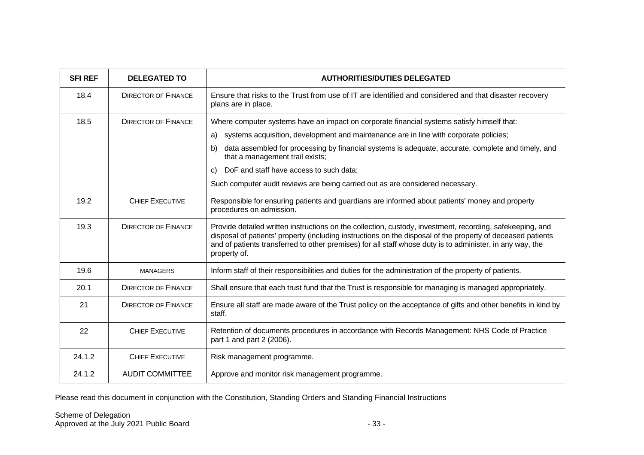| <b>SFI REF</b> | <b>DELEGATED TO</b>        | <b>AUTHORITIES/DUTIES DELEGATED</b>                                                                                                                                                                                                                                                                                                                   |
|----------------|----------------------------|-------------------------------------------------------------------------------------------------------------------------------------------------------------------------------------------------------------------------------------------------------------------------------------------------------------------------------------------------------|
| 18.4           | <b>DIRECTOR OF FINANCE</b> | Ensure that risks to the Trust from use of IT are identified and considered and that disaster recovery<br>plans are in place.                                                                                                                                                                                                                         |
| 18.5           | <b>DIRECTOR OF FINANCE</b> | Where computer systems have an impact on corporate financial systems satisfy himself that:                                                                                                                                                                                                                                                            |
|                |                            | systems acquisition, development and maintenance are in line with corporate policies;<br>a)                                                                                                                                                                                                                                                           |
|                |                            | data assembled for processing by financial systems is adequate, accurate, complete and timely, and<br>b)<br>that a management trail exists;                                                                                                                                                                                                           |
|                |                            | DoF and staff have access to such data;<br>C)                                                                                                                                                                                                                                                                                                         |
|                |                            | Such computer audit reviews are being carried out as are considered necessary.                                                                                                                                                                                                                                                                        |
| 19.2           | <b>CHIEF EXECUTIVE</b>     | Responsible for ensuring patients and guardians are informed about patients' money and property<br>procedures on admission.                                                                                                                                                                                                                           |
| 19.3           | <b>DIRECTOR OF FINANCE</b> | Provide detailed written instructions on the collection, custody, investment, recording, safekeeping, and<br>disposal of patients' property (including instructions on the disposal of the property of deceased patients<br>and of patients transferred to other premises) for all staff whose duty is to administer, in any way, the<br>property of. |
| 19.6           | <b>MANAGERS</b>            | Inform staff of their responsibilities and duties for the administration of the property of patients.                                                                                                                                                                                                                                                 |
| 20.1           | <b>DIRECTOR OF FINANCE</b> | Shall ensure that each trust fund that the Trust is responsible for managing is managed appropriately.                                                                                                                                                                                                                                                |
| 21             | <b>DIRECTOR OF FINANCE</b> | Ensure all staff are made aware of the Trust policy on the acceptance of gifts and other benefits in kind by<br>staff.                                                                                                                                                                                                                                |
| 22             | <b>CHIEF EXECUTIVE</b>     | Retention of documents procedures in accordance with Records Management: NHS Code of Practice<br>part 1 and part 2 (2006).                                                                                                                                                                                                                            |
| 24.1.2         | <b>CHIEF EXECUTIVE</b>     | Risk management programme.                                                                                                                                                                                                                                                                                                                            |
| 24.1.2         | <b>AUDIT COMMITTEE</b>     | Approve and monitor risk management programme.                                                                                                                                                                                                                                                                                                        |